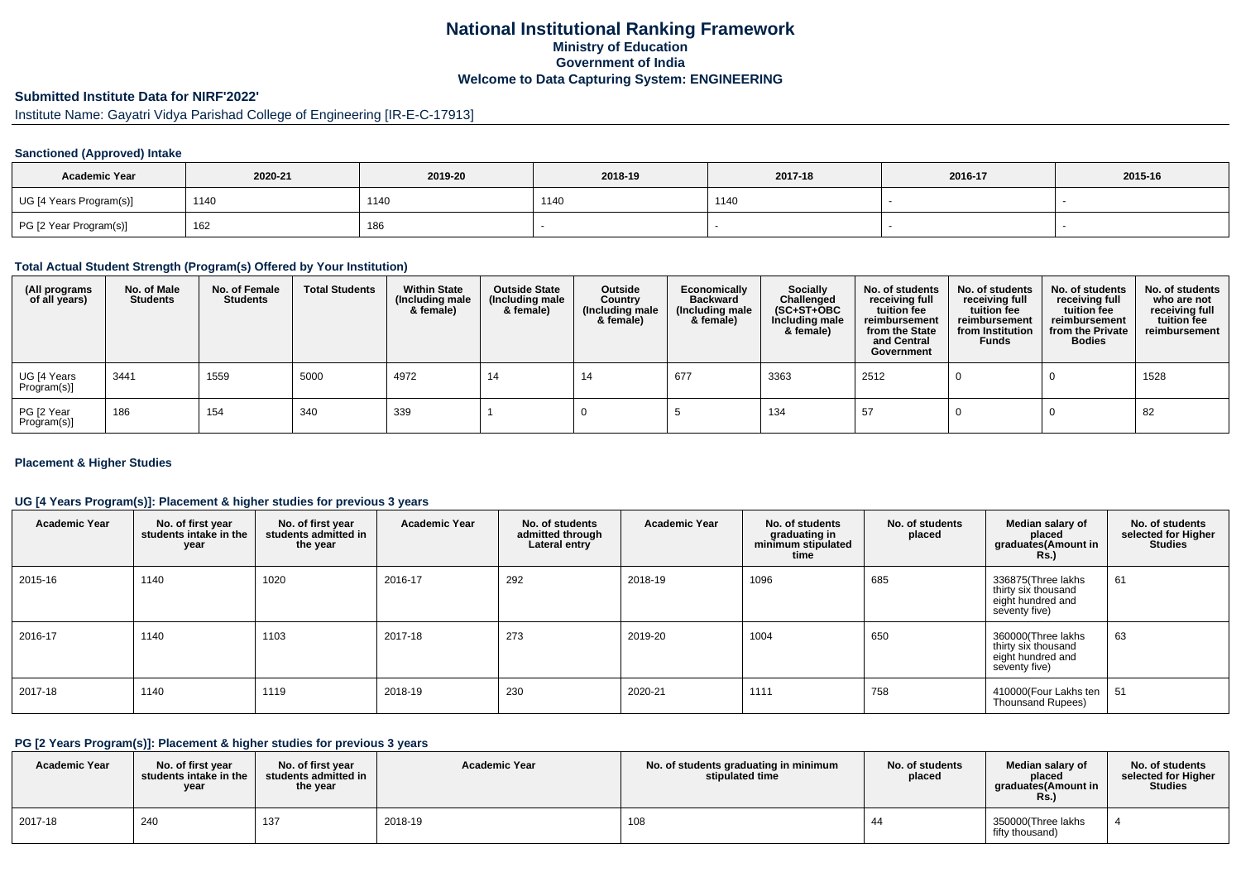# **National Institutional Ranking FrameworkMinistry of Education Government of IndiaWelcome to Data Capturing System: ENGINEERING**

# **Submitted Institute Data for NIRF'2022'**

Institute Name: Gayatri Vidya Parishad College of Engineering [IR-E-C-17913]

## **Sanctioned (Approved) Intake**

| <b>Academic Year</b>    | 2020-21 | 2019-20 | 2018-19 | 2017-18 | 2016-17 | 2015-16 |
|-------------------------|---------|---------|---------|---------|---------|---------|
| UG [4 Years Program(s)] | 1140    | 1140    | 1140    | 1140    |         |         |
| PG [2 Year Program(s)]  | 162     | 186     |         |         |         |         |

#### **Total Actual Student Strength (Program(s) Offered by Your Institution)**

| (All programs<br>of all years) | No. of Male<br><b>Students</b> | No. of Female<br><b>Students</b> | <b>Total Students</b> | <b>Within State</b><br>(Including male<br>& female) | <b>Outside State</b><br>(Including male<br>& female) | Outside<br>Country<br>(Including male<br>& female) | Economically<br><b>Backward</b><br>(Including male<br>& female) | Socially<br>Challenged<br>$(SC+ST+OBC)$<br>Including male<br>& female) | No. of students<br>receiving full<br>tuition fee<br>reimbursement<br>from the State<br>and Central<br>Government | No. of students<br>receiving full<br>tuition fee<br>reimbursement<br>from Institution<br><b>Funds</b> | No. of students<br>receiving full<br>tuition fee<br>reimbursement<br>from the Private<br><b>Bodies</b> | No. of students<br>who are not<br>receiving full<br>tuition fee<br>reimbursement |
|--------------------------------|--------------------------------|----------------------------------|-----------------------|-----------------------------------------------------|------------------------------------------------------|----------------------------------------------------|-----------------------------------------------------------------|------------------------------------------------------------------------|------------------------------------------------------------------------------------------------------------------|-------------------------------------------------------------------------------------------------------|--------------------------------------------------------------------------------------------------------|----------------------------------------------------------------------------------|
| UG [4 Years<br>Program(s)]     | 3441                           | 1559                             | 5000                  | 4972                                                | 14                                                   | 14                                                 | 677                                                             | 3363                                                                   | 2512                                                                                                             |                                                                                                       |                                                                                                        | 1528                                                                             |
| PG [2 Year<br>Program(s)]      | 186                            | 154                              | 340                   | 339                                                 |                                                      |                                                    |                                                                 | 134                                                                    | 57                                                                                                               |                                                                                                       |                                                                                                        | 82                                                                               |

## **Placement & Higher Studies**

## **UG [4 Years Program(s)]: Placement & higher studies for previous 3 years**

| <b>Academic Year</b> | No. of first year<br>students intake in the<br>year | No. of first year<br>students admitted in<br>the year | <b>Academic Year</b> | No. of students<br>admitted through<br>Lateral entry | <b>Academic Year</b> | No. of students<br>graduating in<br>minimum stipulated<br>time | No. of students<br>placed | Median salary of<br>placed<br>graduates (Amount in<br><b>Rs.</b> )              | No. of students<br>selected for Higher<br><b>Studies</b> |
|----------------------|-----------------------------------------------------|-------------------------------------------------------|----------------------|------------------------------------------------------|----------------------|----------------------------------------------------------------|---------------------------|---------------------------------------------------------------------------------|----------------------------------------------------------|
| 2015-16              | 1140                                                | 1020                                                  | 2016-17              | 292                                                  | 2018-19              | 1096                                                           | 685                       | 336875(Three lakhs<br>thirty six thousand<br>eight hundred and<br>seventy five) | 61                                                       |
| 2016-17              | 1140                                                | 1103                                                  | 2017-18              | 273                                                  | 2019-20              | 1004                                                           | 650                       | 360000(Three lakhs<br>thirty six thousand<br>eight hundred and<br>seventy five) | 63                                                       |
| 2017-18              | 1140                                                | 1119                                                  | 2018-19              | 230                                                  | 2020-21              | 1111                                                           | 758                       | 410000(Four Lakhs ten<br><b>Thounsand Rupees)</b>                               | -51                                                      |

## **PG [2 Years Program(s)]: Placement & higher studies for previous 3 years**

| <b>Academic Year</b> | No. of first vear<br>students intake in the<br>year | No. of first year<br>students admitted in<br>the year | <b>Academic Year</b> | No. of students graduating in minimum<br>stipulated time | No. of students<br>placed | Median salary of<br>placed<br>araduates(Amount in<br>Rs. | No. of students<br>selected for Higher<br><b>Studies</b> |
|----------------------|-----------------------------------------------------|-------------------------------------------------------|----------------------|----------------------------------------------------------|---------------------------|----------------------------------------------------------|----------------------------------------------------------|
| 2017-18              | 240                                                 | 137                                                   | 2018-19              | 108                                                      |                           | 350000(Three lakhs<br>fifty thousand)                    |                                                          |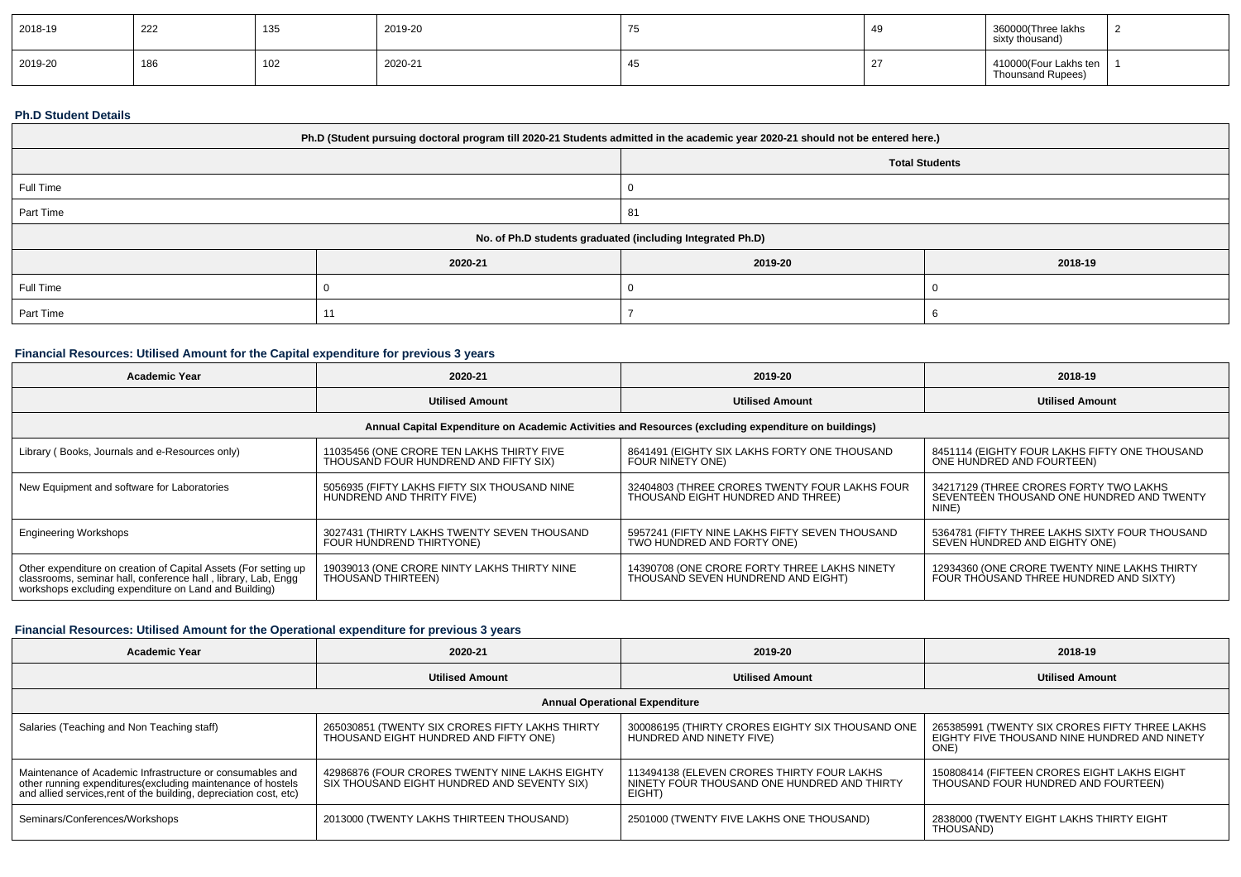| 2018-19 | 222 | $\overline{10}$<br>13t  | 2019-20 | ு | 360000(Three lakhs<br>sixty thousand)      |  |
|---------|-----|-------------------------|---------|---|--------------------------------------------|--|
| 2019-20 | 186 | $\overline{A}$<br>1 U Z | 2020-21 |   | 410000(Four Lakhs ten<br>Thounsand Rupees) |  |

#### **Ph.D Student Details**

| Ph.D (Student pursuing doctoral program till 2020-21 Students admitted in the academic year 2020-21 should not be entered here.) |         |                       |         |  |  |
|----------------------------------------------------------------------------------------------------------------------------------|---------|-----------------------|---------|--|--|
|                                                                                                                                  |         | <b>Total Students</b> |         |  |  |
| Full Time                                                                                                                        |         |                       |         |  |  |
| Part Time                                                                                                                        |         | 81                    |         |  |  |
| No. of Ph.D students graduated (including Integrated Ph.D)                                                                       |         |                       |         |  |  |
|                                                                                                                                  | 2020-21 | 2019-20               | 2018-19 |  |  |
| Full Time                                                                                                                        |         |                       |         |  |  |
| Part Time                                                                                                                        |         |                       |         |  |  |

# **Financial Resources: Utilised Amount for the Capital expenditure for previous 3 years**

| <b>Academic Year</b>                                                                                                                                                                      | 2020-21                                                                            | 2019-20                                                                                              | 2018-19                                                                                      |
|-------------------------------------------------------------------------------------------------------------------------------------------------------------------------------------------|------------------------------------------------------------------------------------|------------------------------------------------------------------------------------------------------|----------------------------------------------------------------------------------------------|
|                                                                                                                                                                                           | <b>Utilised Amount</b>                                                             | <b>Utilised Amount</b>                                                                               | <b>Utilised Amount</b>                                                                       |
|                                                                                                                                                                                           |                                                                                    | Annual Capital Expenditure on Academic Activities and Resources (excluding expenditure on buildings) |                                                                                              |
| Library (Books, Journals and e-Resources only)                                                                                                                                            | 11035456 (ONE CRORE TEN LAKHS THIRTY FIVE<br>THOUSAND FOUR HUNDREND AND FIFTY SIX) | 8641491 (EIGHTY SIX LAKHS FORTY ONE THOUSAND<br>FOUR NINETY ONE)                                     | 8451114 (EIGHTY FOUR LAKHS FIFTY ONE THOUSAND<br>ONE HUNDRED AND FOURTEEN)                   |
| New Equipment and software for Laboratories                                                                                                                                               | 5056935 (FIFTY LAKHS FIFTY SIX THOUSAND NINE<br>HUNDREND AND THRITY FIVE)          | 32404803 (THREE CRORES TWENTY FOUR LAKHS FOUR<br>THOUSAND EIGHT HUNDRED AND THREE)                   | 34217129 (THREE CRORES FORTY TWO LAKHS<br>SEVENTEEN THOUSAND ONE HUNDRED AND TWENTY<br>NINE) |
| <b>Engineering Workshops</b>                                                                                                                                                              | 3027431 (THIRTY LAKHS TWENTY SEVEN THOUSAND<br>FOUR HUNDREND THIRTYONE)            | 5957241 (FIFTY NINE LAKHS FIFTY SEVEN THOUSAND<br>TWO HUNDRED AND FORTY ONE)                         | 5364781 (FIFTY THREE LAKHS SIXTY FOUR THOUSAND<br>SEVEN HUNDRED AND EIGHTY ONE)              |
| Other expenditure on creation of Capital Assets (For setting up<br>classrooms, seminar hall, conference hall, library, Lab, Engg<br>workshops excluding expenditure on Land and Building) | 19039013 (ONE CRORE NINTY LAKHS THIRTY NINE<br>THOUSAND THIRTEEN)                  | 14390708 (ONE CRORE FORTY THREE LAKHS NINETY<br>THOUSAND SEVEN HUNDREND AND EIGHT)                   | 12934360 (ONE CRORE TWENTY NINE LAKHS THIRTY<br>FOUR THOUSAND THREE HUNDRED AND SIXTY)       |

## **Financial Resources: Utilised Amount for the Operational expenditure for previous 3 years**

| <b>Academic Year</b>                                                                                                                                                                            | 2020-21                                                                                       | 2019-20                                                                                             | 2018-19                                                                                                |  |  |  |  |
|-------------------------------------------------------------------------------------------------------------------------------------------------------------------------------------------------|-----------------------------------------------------------------------------------------------|-----------------------------------------------------------------------------------------------------|--------------------------------------------------------------------------------------------------------|--|--|--|--|
|                                                                                                                                                                                                 | <b>Utilised Amount</b>                                                                        | <b>Utilised Amount</b>                                                                              | <b>Utilised Amount</b>                                                                                 |  |  |  |  |
| <b>Annual Operational Expenditure</b>                                                                                                                                                           |                                                                                               |                                                                                                     |                                                                                                        |  |  |  |  |
| Salaries (Teaching and Non Teaching staff)                                                                                                                                                      | 265030851 (TWENTY SIX CRORES FIFTY LAKHS THIRTY<br>THOUSAND EIGHT HUNDRED AND FIFTY ONE)      | 300086195 (THIRTY CRORES EIGHTY SIX THOUSAND ONE<br>HUNDRED AND NINETY FIVE)                        | 265385991 (TWENTY SIX CRORES FIFTY THREE LAKHS<br>EIGHTY FIVE THOUSAND NINE HUNDRED AND NINETY<br>ONE) |  |  |  |  |
| Maintenance of Academic Infrastructure or consumables and<br>other running expenditures (excluding maintenance of hostels<br>and allied services, rent of the building, depreciation cost, etc) | 42986876 (FOUR CRORES TWENTY NINE LAKHS EIGHTY<br>SIX THOUSAND EIGHT HUNDRED AND SEVENTY SIX) | 113494138 (ELEVEN CRORES THIRTY FOUR LAKHS<br>NINETY FOUR THOUSAND ONE HUNDRED AND THIRTY<br>EIGHT) | 150808414 (FIFTEEN CRORES EIGHT LAKHS EIGHT<br>THOUSAND FOUR HUNDRED AND FOURTEEN)                     |  |  |  |  |
| Seminars/Conferences/Workshops                                                                                                                                                                  | 2013000 (TWENTY LAKHS THIRTEEN THOUSAND)                                                      | 2501000 (TWENTY FIVE LAKHS ONE THOUSAND)                                                            | 2838000 (TWENTY EIGHT LAKHS THIRTY EIGHT<br>THOUSAND)                                                  |  |  |  |  |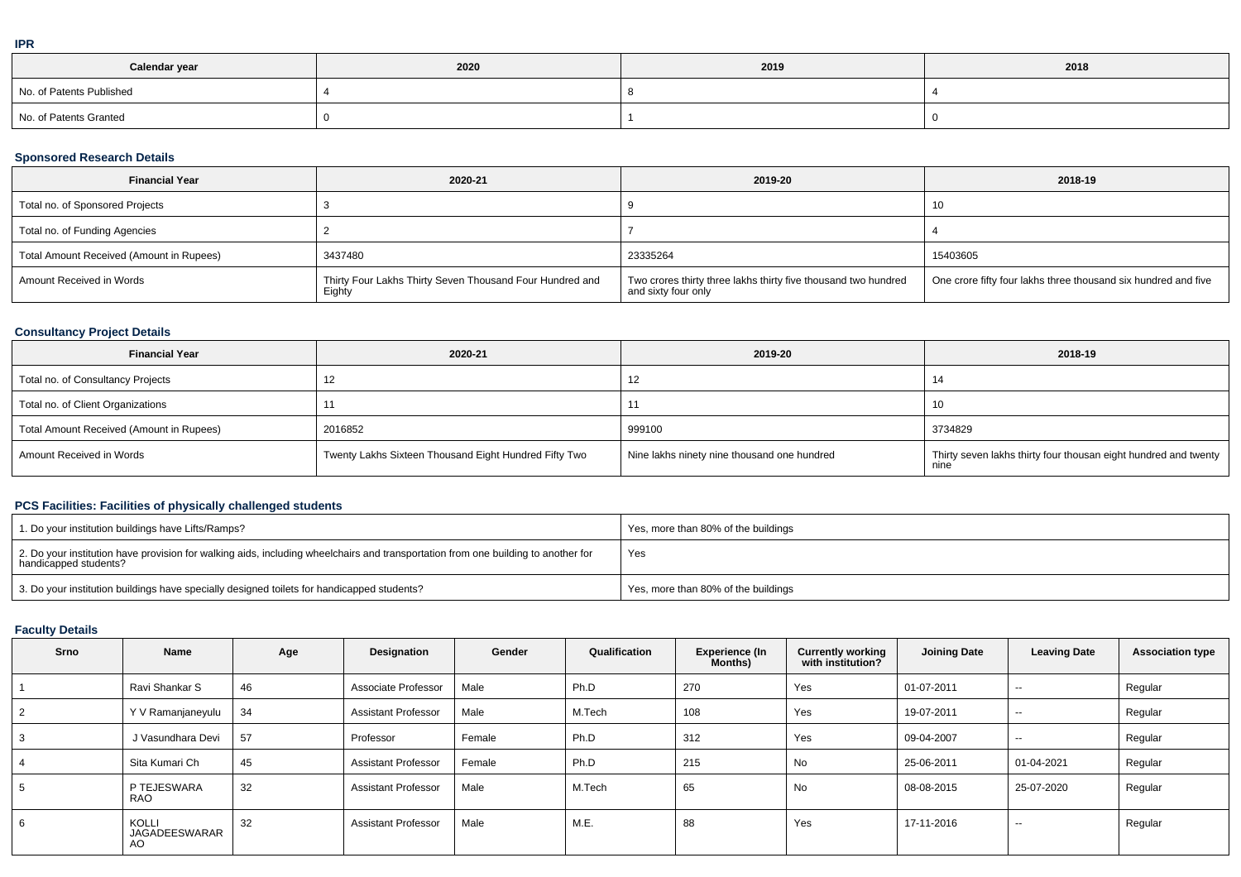| Calendar year            | 2020 | 2019 | 2018 |
|--------------------------|------|------|------|
| No. of Patents Published |      |      |      |
| No. of Patents Granted   |      |      |      |

## **Sponsored Research Details**

| <b>Financial Year</b>                    | 2020-21                                                            | 2019-20                                                                               | 2018-19                                                        |
|------------------------------------------|--------------------------------------------------------------------|---------------------------------------------------------------------------------------|----------------------------------------------------------------|
| Total no. of Sponsored Projects          |                                                                    |                                                                                       |                                                                |
| Total no. of Funding Agencies            |                                                                    |                                                                                       |                                                                |
| Total Amount Received (Amount in Rupees) | 3437480                                                            | 23335264                                                                              | 15403605                                                       |
| Amount Received in Words                 | Thirty Four Lakhs Thirty Seven Thousand Four Hundred and<br>Eighty | Two crores thirty three lakhs thirty five thousand two hundred<br>and sixty four only | One crore fifty four lakhs three thousand six hundred and five |

# **Consultancy Project Details**

| <b>Financial Year</b>                    | 2020-21                                               | 2019-20                                     | 2018-19                                                                 |
|------------------------------------------|-------------------------------------------------------|---------------------------------------------|-------------------------------------------------------------------------|
| Total no. of Consultancy Projects        |                                                       |                                             |                                                                         |
| Total no. of Client Organizations        |                                                       |                                             | -10                                                                     |
| Total Amount Received (Amount in Rupees) | 2016852                                               | 999100                                      | 3734829                                                                 |
| Amount Received in Words                 | Twenty Lakhs Sixteen Thousand Eight Hundred Fifty Two | Nine lakhs ninety nine thousand one hundred | Thirty seven lakhs thirty four thousan eight hundred and twenty<br>nıne |

# **PCS Facilities: Facilities of physically challenged students**

| 1. Do your institution buildings have Lifts/Ramps?                                                                                                         | Yes, more than 80% of the buildings |
|------------------------------------------------------------------------------------------------------------------------------------------------------------|-------------------------------------|
| 2. Do your institution have provision for walking aids, including wheelchairs and transportation from one building to another for<br>handicapped students? | Yes                                 |
| 3. Do your institution buildings have specially designed toilets for handicapped students?                                                                 | Yes, more than 80% of the buildings |

# **Faculty Details**

| Srno | Name                          | Age | Designation                | Gender | Qualification | <b>Experience (In</b><br><b>Months</b> ) | <b>Currently working</b><br>with institution? | <b>Joining Date</b> | <b>Leaving Date</b> | <b>Association type</b> |
|------|-------------------------------|-----|----------------------------|--------|---------------|------------------------------------------|-----------------------------------------------|---------------------|---------------------|-------------------------|
|      | Ravi Shankar S                | 46  | Associate Professor        | Male   | Ph.D          | 270                                      | Yes                                           | 01-07-2011          | $- -$               | Regular                 |
| 2    | Y V Ramanjaneyulu             | 34  | <b>Assistant Professor</b> | Male   | M.Tech        | 108                                      | Yes                                           | 19-07-2011          | $\sim$              | Regular                 |
| 3    | J Vasundhara Devi             | 57  | Professor                  | Female | Ph.D          | 312                                      | Yes                                           | 09-04-2007          | $- -$               | Regular                 |
| 4    | Sita Kumari Ch                | 45  | <b>Assistant Professor</b> | Female | Ph.D          | 215                                      | No                                            | 25-06-2011          | 01-04-2021          | Regular                 |
| 5    | P TEJESWARA<br><b>RAO</b>     | 32  | <b>Assistant Professor</b> | Male   | M.Tech        | 65                                       | No                                            | 08-08-2015          | 25-07-2020          | Regular                 |
| 6    | KOLLI<br>JAGADEESWARAR<br>AO. | 32  | <b>Assistant Professor</b> | Male   | M.E.          | 88                                       | Yes                                           | 17-11-2016          | $- -$               | Regular                 |

**IPR**

۰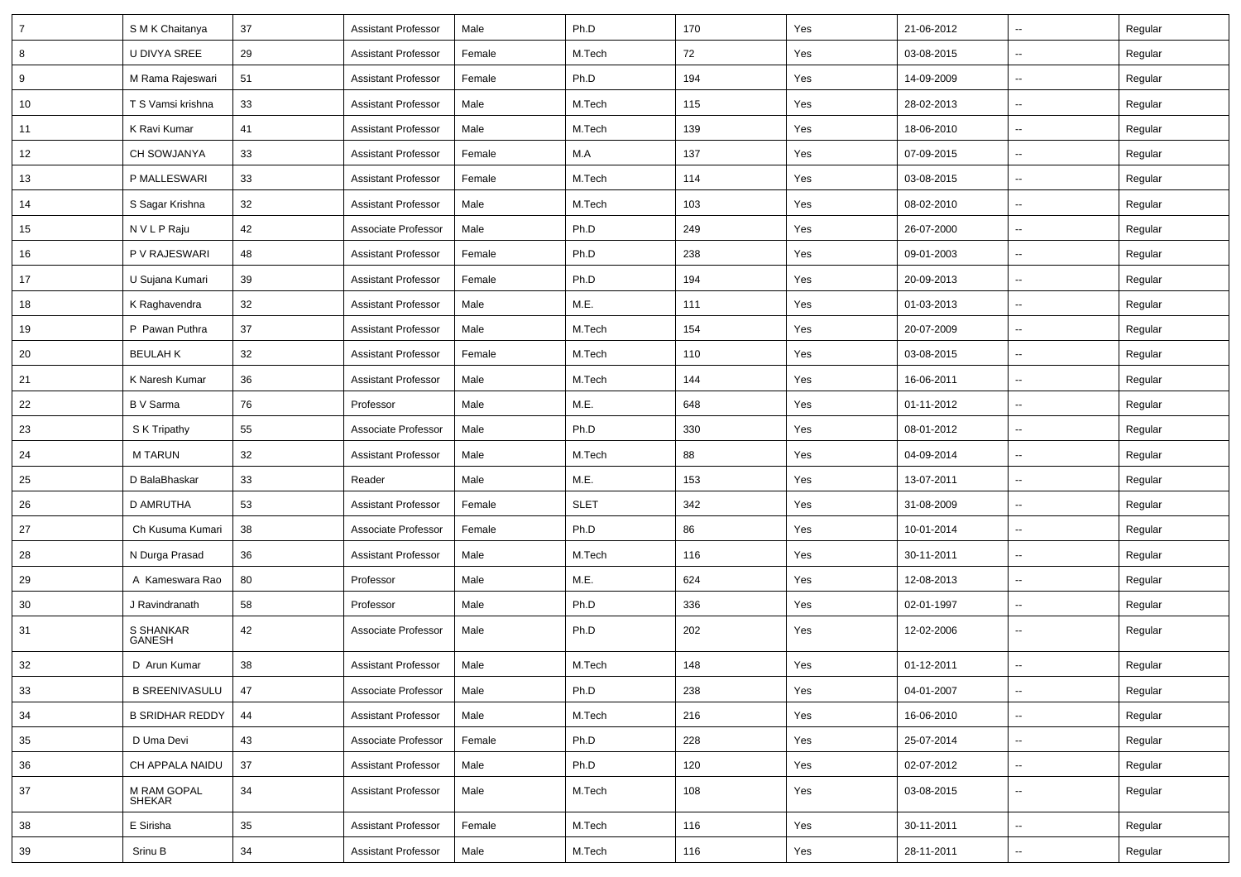| $\overline{7}$ | S M K Chaitanya        | 37 | <b>Assistant Professor</b> | Male   | Ph.D        | 170 | Yes | 21-06-2012 | $\overline{\phantom{a}}$ | Regular |
|----------------|------------------------|----|----------------------------|--------|-------------|-----|-----|------------|--------------------------|---------|
| 8              | U DIVYA SREE           | 29 | <b>Assistant Professor</b> | Female | M.Tech      | 72  | Yes | 03-08-2015 | ⊶.                       | Regular |
| 9              | M Rama Rajeswari       | 51 | <b>Assistant Professor</b> | Female | Ph.D        | 194 | Yes | 14-09-2009 | -−                       | Regular |
| 10             | T S Vamsi krishna      | 33 | <b>Assistant Professor</b> | Male   | M.Tech      | 115 | Yes | 28-02-2013 | $\overline{\phantom{a}}$ | Regular |
| 11             | K Ravi Kumar           | 41 | <b>Assistant Professor</b> | Male   | M.Tech      | 139 | Yes | 18-06-2010 | --                       | Regular |
| 12             | CH SOWJANYA            | 33 | <b>Assistant Professor</b> | Female | M.A         | 137 | Yes | 07-09-2015 | --                       | Regular |
| 13             | P MALLESWARI           | 33 | <b>Assistant Professor</b> | Female | M.Tech      | 114 | Yes | 03-08-2015 | $\mathbf{u}$             | Regular |
| 14             | S Sagar Krishna        | 32 | <b>Assistant Professor</b> | Male   | M.Tech      | 103 | Yes | 08-02-2010 | $\overline{\phantom{a}}$ | Regular |
| 15             | N V L P Raju           | 42 | Associate Professor        | Male   | Ph.D        | 249 | Yes | 26-07-2000 | н.                       | Regular |
| 16             | P V RAJESWARI          | 48 | <b>Assistant Professor</b> | Female | Ph.D        | 238 | Yes | 09-01-2003 | $\overline{\phantom{a}}$ | Regular |
| 17             | U Sujana Kumari        | 39 | <b>Assistant Professor</b> | Female | Ph.D        | 194 | Yes | 20-09-2013 | --                       | Regular |
| 18             | K Raghavendra          | 32 | <b>Assistant Professor</b> | Male   | M.E.        | 111 | Yes | 01-03-2013 | -−                       | Regular |
| 19             | P Pawan Puthra         | 37 | <b>Assistant Professor</b> | Male   | M.Tech      | 154 | Yes | 20-07-2009 | $\mathbf{u}$             | Regular |
| 20             | <b>BEULAH K</b>        | 32 | <b>Assistant Professor</b> | Female | M.Tech      | 110 | Yes | 03-08-2015 | $\overline{\phantom{a}}$ | Regular |
| 21             | K Naresh Kumar         | 36 | <b>Assistant Professor</b> | Male   | M.Tech      | 144 | Yes | 16-06-2011 | н.                       | Regular |
| 22             | B V Sarma              | 76 | Professor                  | Male   | M.E.        | 648 | Yes | 01-11-2012 | $\overline{\phantom{a}}$ | Regular |
| 23             | S K Tripathy           | 55 | Associate Professor        | Male   | Ph.D        | 330 | Yes | 08-01-2012 | $\overline{\phantom{a}}$ | Regular |
| 24             | <b>MTARUN</b>          | 32 | <b>Assistant Professor</b> | Male   | M.Tech      | 88  | Yes | 04-09-2014 | --                       | Regular |
| 25             | D BalaBhaskar          | 33 | Reader                     | Male   | M.E.        | 153 | Yes | 13-07-2011 | $\mathbf{u}$             | Regular |
| 26             | <b>D AMRUTHA</b>       | 53 | <b>Assistant Professor</b> | Female | <b>SLET</b> | 342 | Yes | 31-08-2009 | $\overline{\phantom{a}}$ | Regular |
| 27             | Ch Kusuma Kumari       | 38 | Associate Professor        | Female | Ph.D        | 86  | Yes | 10-01-2014 | н.                       | Regular |
| 28             | N Durga Prasad         | 36 | <b>Assistant Professor</b> | Male   | M.Tech      | 116 | Yes | 30-11-2011 | $\overline{\phantom{a}}$ | Regular |
| 29             | A Kameswara Rao        | 80 | Professor                  | Male   | M.E.        | 624 | Yes | 12-08-2013 | $\overline{\phantom{a}}$ | Regular |
| 30             | J Ravindranath         | 58 | Professor                  | Male   | Ph.D        | 336 | Yes | 02-01-1997 | --                       | Regular |
| 31             | S SHANKAR<br>GANESH    | 42 | Associate Professor        | Male   | Ph.D        | 202 | Yes | 12-02-2006 | ⊷.                       | Regular |
| 32             | D Arun Kumar           | 38 | <b>Assistant Professor</b> | Male   | M.Tech      | 148 | Yes | 01-12-2011 | $\overline{\phantom{a}}$ | Regular |
| 33             | <b>B SREENIVASULU</b>  | 47 | Associate Professor        | Male   | Ph.D        | 238 | Yes | 04-01-2007 | $\sim$                   | Regular |
| 34             | <b>B SRIDHAR REDDY</b> | 44 | <b>Assistant Professor</b> | Male   | M.Tech      | 216 | Yes | 16-06-2010 | $\overline{\phantom{a}}$ | Regular |
| 35             | D Uma Devi             | 43 | Associate Professor        | Female | Ph.D        | 228 | Yes | 25-07-2014 | Щ,                       | Regular |
| 36             | CH APPALA NAIDU        | 37 | <b>Assistant Professor</b> | Male   | Ph.D        | 120 | Yes | 02-07-2012 | $\overline{\phantom{a}}$ | Regular |
| 37             | M RAM GOPAL<br>SHEKAR  | 34 | <b>Assistant Professor</b> | Male   | M.Tech      | 108 | Yes | 03-08-2015 | -−                       | Regular |
| 38             | E Sirisha              | 35 | <b>Assistant Professor</b> | Female | M.Tech      | 116 | Yes | 30-11-2011 | $\overline{\phantom{a}}$ | Regular |
| 39             | Srinu B                | 34 | <b>Assistant Professor</b> | Male   | M.Tech      | 116 | Yes | 28-11-2011 | $\overline{\phantom{a}}$ | Regular |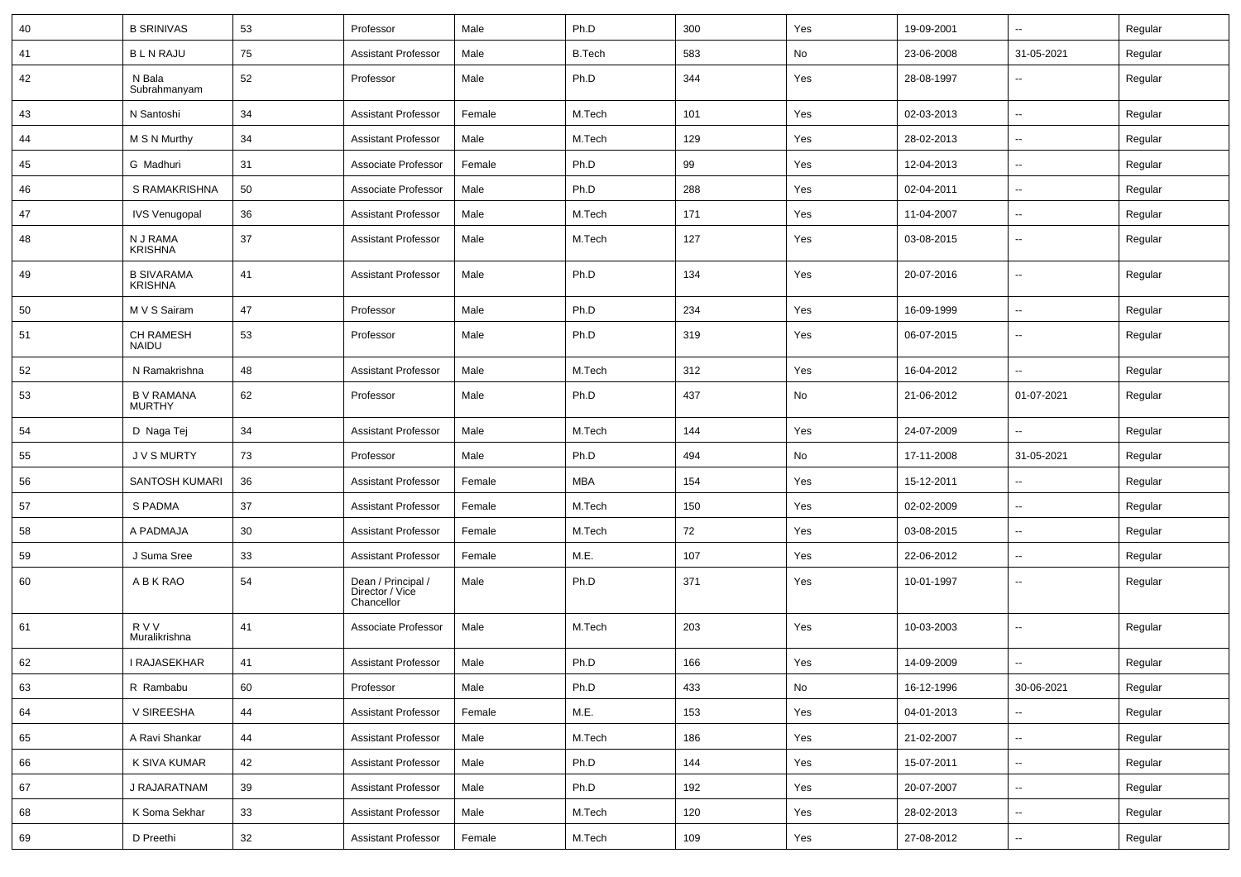| 40 | <b>B SRINIVAS</b>                   | 53 | Professor                                           | Male   | Ph.D          | 300 | Yes                          | 19-09-2001 | ⊷.                       | Regular |
|----|-------------------------------------|----|-----------------------------------------------------|--------|---------------|-----|------------------------------|------------|--------------------------|---------|
| 41 | <b>BLN RAJU</b>                     | 75 | <b>Assistant Professor</b>                          | Male   | <b>B.Tech</b> | 583 | No                           | 23-06-2008 | 31-05-2021               | Regular |
| 42 | N Bala<br>Subrahmanyam              | 52 | Professor                                           | Male   | Ph.D          | 344 | Yes                          | 28-08-1997 | --                       | Regular |
| 43 | N Santoshi                          | 34 | <b>Assistant Professor</b>                          | Female | M.Tech        | 101 | Yes                          | 02-03-2013 | $\overline{\phantom{a}}$ | Regular |
| 44 | M S N Murthy                        | 34 | <b>Assistant Professor</b>                          | Male   | M.Tech        | 129 | Yes                          | 28-02-2013 | $\overline{\phantom{a}}$ | Regular |
| 45 | G Madhuri                           | 31 | Associate Professor                                 | Female | Ph.D          | 99  | Yes                          | 12-04-2013 | --                       | Regular |
| 46 | S RAMAKRISHNA                       | 50 | Associate Professor                                 | Male   | Ph.D          | 288 | Yes                          | 02-04-2011 | $\overline{\phantom{a}}$ | Regular |
| 47 | <b>IVS Venugopal</b>                | 36 | <b>Assistant Professor</b>                          | Male   | M.Tech        | 171 | Yes                          | 11-04-2007 | --                       | Regular |
| 48 | N J RAMA<br><b>KRISHNA</b>          | 37 | <b>Assistant Professor</b>                          | Male   | M.Tech        | 127 | Yes                          | 03-08-2015 | $\overline{\phantom{a}}$ | Regular |
| 49 | <b>B SIVARAMA</b><br><b>KRISHNA</b> | 41 | <b>Assistant Professor</b>                          | Male   | Ph.D          | 134 | Yes                          | 20-07-2016 | $\overline{\phantom{a}}$ | Regular |
| 50 | M V S Sairam                        | 47 | Professor                                           | Male   | Ph.D          | 234 | Yes                          | 16-09-1999 | --                       | Regular |
| 51 | <b>CH RAMESH</b><br><b>NAIDU</b>    | 53 | Professor                                           | Male   | Ph.D          | 319 | Yes                          | 06-07-2015 | $\overline{\phantom{a}}$ | Regular |
| 52 | N Ramakrishna                       | 48 | <b>Assistant Professor</b>                          | Male   | M.Tech        | 312 | Yes                          | 16-04-2012 | -−                       | Regular |
| 53 | <b>B V RAMANA</b><br><b>MURTHY</b>  | 62 | Professor                                           | Male   | Ph.D          | 437 | No                           | 21-06-2012 | 01-07-2021               | Regular |
| 54 | D Naga Tej                          | 34 | <b>Assistant Professor</b>                          | Male   | M.Tech        | 144 | Yes                          | 24-07-2009 | --                       | Regular |
| 55 | <b>JVSMURTY</b>                     | 73 | Professor                                           | Male   | Ph.D          | 494 | No                           | 17-11-2008 | 31-05-2021               | Regular |
| 56 | SANTOSH KUMARI                      | 36 | <b>Assistant Professor</b>                          | Female | <b>MBA</b>    | 154 | Yes                          | 15-12-2011 | $\overline{\phantom{a}}$ | Regular |
| 57 | S PADMA                             | 37 | <b>Assistant Professor</b>                          | Female | M.Tech        | 150 | Yes                          | 02-02-2009 | $\overline{\phantom{a}}$ | Regular |
| 58 | A PADMAJA                           | 30 | <b>Assistant Professor</b>                          | Female | M.Tech        | 72  | Yes                          | 03-08-2015 | --                       | Regular |
| 59 | J Suma Sree                         | 33 | <b>Assistant Professor</b>                          | Female | M.E.          | 107 | Yes                          | 22-06-2012 | --                       | Regular |
| 60 | A B K RAO                           | 54 | Dean / Principal /<br>Director / Vice<br>Chancellor | Male   | Ph.D          | 371 | Yes                          | 10-01-1997 | --                       | Regular |
| 61 | R V V<br>Muralikrishna              | 41 | Associate Professor                                 | Male   | M.Tech        | 203 | Yes                          | 10-03-2003 | $\overline{\phantom{a}}$ | Regular |
| 62 | I RAJASEKHAR                        | 41 | <b>Assistant Professor</b>                          | Male   | Ph.D          | 166 | Yes                          | 14-09-2009 |                          | Regular |
| 63 | R Rambabu                           | 60 | Professor                                           | Male   | Ph.D          | 433 | $\operatorname{\mathsf{No}}$ | 16-12-1996 | 30-06-2021               | Regular |
| 64 | V SIREESHA                          | 44 | <b>Assistant Professor</b>                          | Female | M.E.          | 153 | Yes                          | 04-01-2013 |                          | Regular |
| 65 | A Ravi Shankar                      | 44 | <b>Assistant Professor</b>                          | Male   | M.Tech        | 186 | Yes                          | 21-02-2007 | $\sim$                   | Regular |
| 66 | K SIVA KUMAR                        | 42 | <b>Assistant Professor</b>                          | Male   | Ph.D          | 144 | Yes                          | 15-07-2011 | $\sim$                   | Regular |
| 67 | J RAJARATNAM                        | 39 | <b>Assistant Professor</b>                          | Male   | Ph.D          | 192 | Yes                          | 20-07-2007 | $\sim$                   | Regular |
| 68 | K Soma Sekhar                       | 33 | <b>Assistant Professor</b>                          | Male   | M.Tech        | 120 | Yes                          | 28-02-2013 | Щ,                       | Regular |
| 69 | D Preethi                           | 32 | <b>Assistant Professor</b>                          | Female | M.Tech        | 109 | Yes                          | 27-08-2012 | −−                       | Regular |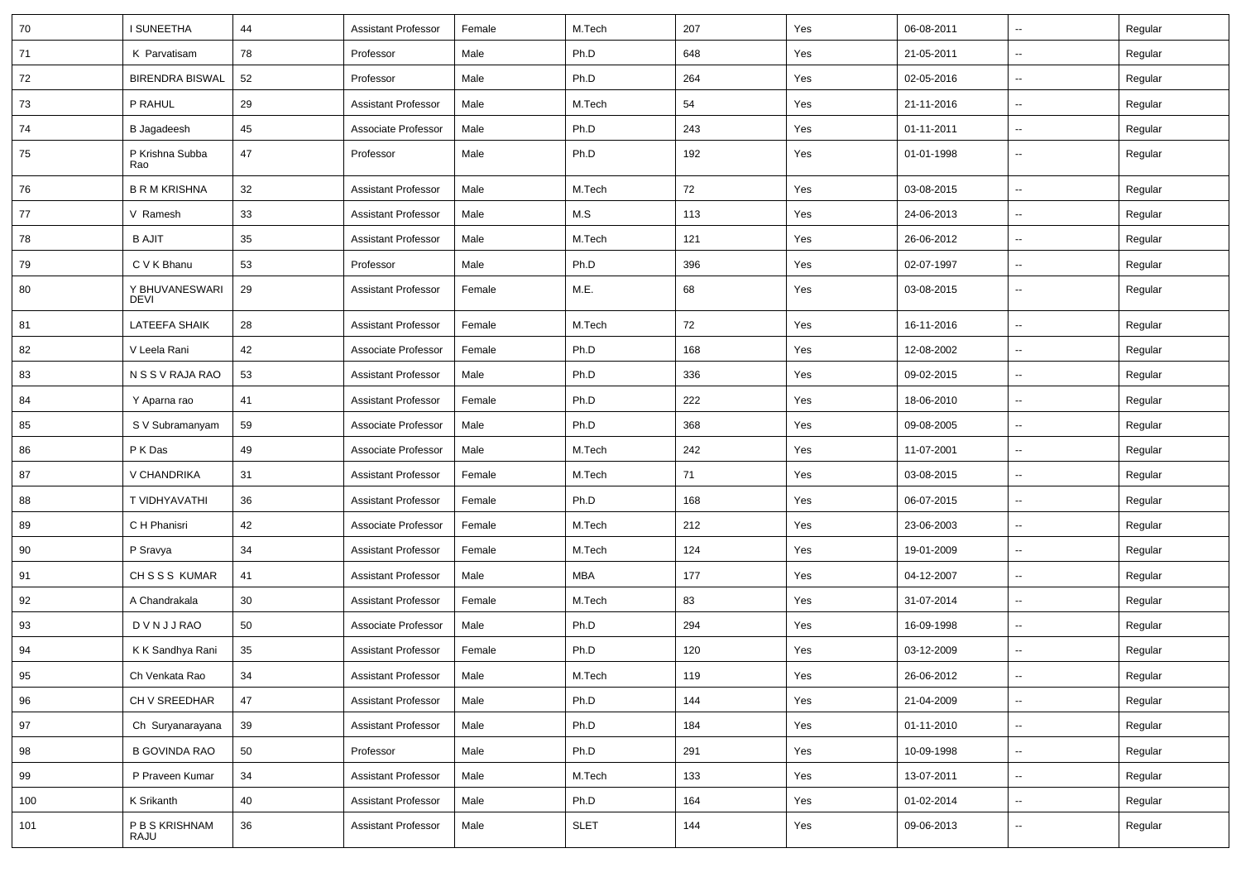| 70  | I SUNEETHA                    | 44 | <b>Assistant Professor</b> | Female | M.Tech      | 207 | Yes | 06-08-2011 | Ξ.                       | Regular |
|-----|-------------------------------|----|----------------------------|--------|-------------|-----|-----|------------|--------------------------|---------|
| 71  | K Parvatisam                  | 78 | Professor                  | Male   | Ph.D        | 648 | Yes | 21-05-2011 | $\overline{\phantom{a}}$ | Regular |
| 72  | <b>BIRENDRA BISWAL</b>        | 52 | Professor                  | Male   | Ph.D        | 264 | Yes | 02-05-2016 | --                       | Regular |
| 73  | P RAHUL                       | 29 | <b>Assistant Professor</b> | Male   | M.Tech      | 54  | Yes | 21-11-2016 | ⊷.                       | Regular |
| 74  | B Jagadeesh                   | 45 | Associate Professor        | Male   | Ph.D        | 243 | Yes | 01-11-2011 | −−                       | Regular |
| 75  | P Krishna Subba<br>Rao        | 47 | Professor                  | Male   | Ph.D        | 192 | Yes | 01-01-1998 | $\sim$                   | Regular |
| 76  | <b>B R M KRISHNA</b>          | 32 | <b>Assistant Professor</b> | Male   | M.Tech      | 72  | Yes | 03-08-2015 | $\overline{\phantom{a}}$ | Regular |
| 77  | V Ramesh                      | 33 | <b>Assistant Professor</b> | Male   | M.S         | 113 | Yes | 24-06-2013 | $\sim$                   | Regular |
| 78  | <b>B AJIT</b>                 | 35 | <b>Assistant Professor</b> | Male   | M.Tech      | 121 | Yes | 26-06-2012 | $\overline{\phantom{a}}$ | Regular |
| 79  | C V K Bhanu                   | 53 | Professor                  | Male   | Ph.D        | 396 | Yes | 02-07-1997 | $\sim$                   | Regular |
| 80  | Y BHUVANESWARI<br><b>DEVI</b> | 29 | <b>Assistant Professor</b> | Female | M.E.        | 68  | Yes | 03-08-2015 | ⊶.                       | Regular |
| 81  | <b>LATEEFA SHAIK</b>          | 28 | <b>Assistant Professor</b> | Female | M.Tech      | 72  | Yes | 16-11-2016 | -−                       | Regular |
| 82  | V Leela Rani                  | 42 | Associate Professor        | Female | Ph.D        | 168 | Yes | 12-08-2002 | ⊶.                       | Regular |
| 83  | N S S V RAJA RAO              | 53 | Assistant Professor        | Male   | Ph.D        | 336 | Yes | 09-02-2015 | ш.                       | Regular |
| 84  | Y Aparna rao                  | 41 | <b>Assistant Professor</b> | Female | Ph.D        | 222 | Yes | 18-06-2010 | $\overline{\phantom{a}}$ | Regular |
| 85  | S V Subramanyam               | 59 | Associate Professor        | Male   | Ph.D        | 368 | Yes | 09-08-2005 | $\sim$                   | Regular |
| 86  | P K Das                       | 49 | Associate Professor        | Male   | M.Tech      | 242 | Yes | 11-07-2001 | ⊶.                       | Regular |
| 87  | V CHANDRIKA                   | 31 | <b>Assistant Professor</b> | Female | M.Tech      | 71  | Yes | 03-08-2015 | $\sim$                   | Regular |
| 88  | T VIDHYAVATHI                 | 36 | <b>Assistant Professor</b> | Female | Ph.D        | 168 | Yes | 06-07-2015 | $\overline{\phantom{a}}$ | Regular |
| 89  | C H Phanisri                  | 42 | Associate Professor        | Female | M.Tech      | 212 | Yes | 23-06-2003 | $\overline{\phantom{a}}$ | Regular |
| 90  | P Sravya                      | 34 | <b>Assistant Professor</b> | Female | M.Tech      | 124 | Yes | 19-01-2009 | $\overline{\phantom{a}}$ | Regular |
| 91  | CHSSS KUMAR                   | 41 | <b>Assistant Professor</b> | Male   | MBA         | 177 | Yes | 04-12-2007 | $\sim$                   | Regular |
| 92  | A Chandrakala                 | 30 | <b>Assistant Professor</b> | Female | M.Tech      | 83  | Yes | 31-07-2014 | $\overline{\phantom{a}}$ | Regular |
| 93  | <b>DVNJJRAO</b>               | 50 | Associate Professor        | Male   | Ph.D        | 294 | Yes | 16-09-1998 | ⊷.                       | Regular |
| 94  | K K Sandhya Rani              | 35 | <b>Assistant Professor</b> | Female | Ph.D        | 120 | Yes | 03-12-2009 | $\overline{\phantom{a}}$ | Regular |
| 95  | Ch Venkata Rao                | 34 | Assistant Professor        | Male   | M.Tech      | 119 | Yes | 26-06-2012 |                          | Regular |
| 96  | CH V SREEDHAR                 | 47 | <b>Assistant Professor</b> | Male   | Ph.D        | 144 | Yes | 21-04-2009 | $\overline{\phantom{a}}$ | Regular |
| 97  | Ch Suryanarayana              | 39 | <b>Assistant Professor</b> | Male   | Ph.D        | 184 | Yes | 01-11-2010 | $\sim$                   | Regular |
| 98  | <b>B GOVINDA RAO</b>          | 50 | Professor                  | Male   | Ph.D        | 291 | Yes | 10-09-1998 | $\overline{\phantom{a}}$ | Regular |
| 99  | P Praveen Kumar               | 34 | <b>Assistant Professor</b> | Male   | M.Tech      | 133 | Yes | 13-07-2011 | $\overline{\phantom{a}}$ | Regular |
| 100 | K Srikanth                    | 40 | <b>Assistant Professor</b> | Male   | Ph.D        | 164 | Yes | 01-02-2014 | ⊷.                       | Regular |
| 101 | P B S KRISHNAM<br>RAJU        | 36 | <b>Assistant Professor</b> | Male   | <b>SLET</b> | 144 | Yes | 09-06-2013 | --                       | Regular |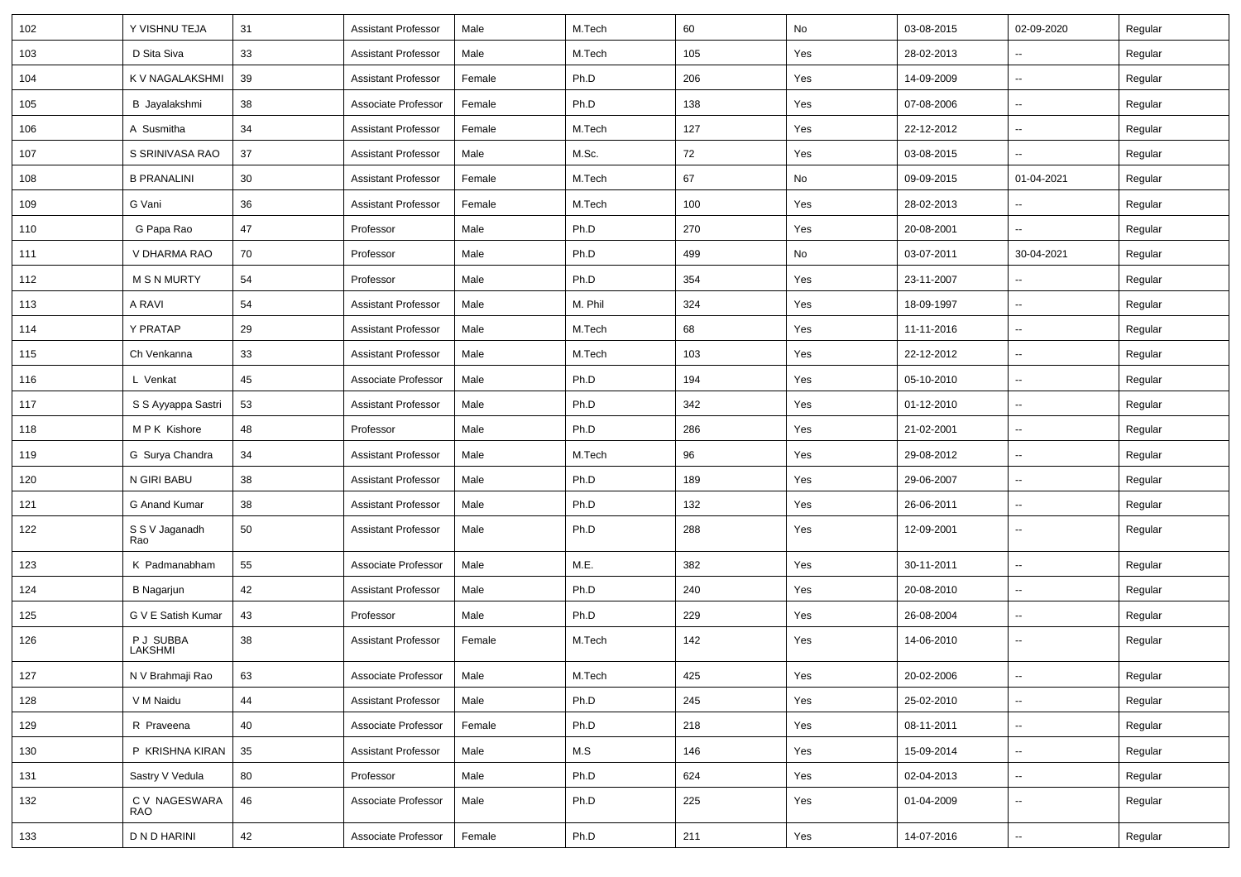| 102 | Y VISHNU TEJA         | 31 | <b>Assistant Professor</b> | Male   | M.Tech  | 60  | No  | 03-08-2015 | 02-09-2020               | Regular |
|-----|-----------------------|----|----------------------------|--------|---------|-----|-----|------------|--------------------------|---------|
| 103 | D Sita Siva           | 33 | <b>Assistant Professor</b> | Male   | M.Tech  | 105 | Yes | 28-02-2013 | $\sim$                   | Regular |
| 104 | K V NAGALAKSHMI       | 39 | <b>Assistant Professor</b> | Female | Ph.D    | 206 | Yes | 14-09-2009 |                          | Regular |
| 105 | B Jayalakshmi         | 38 | Associate Professor        | Female | Ph.D    | 138 | Yes | 07-08-2006 |                          | Regular |
| 106 | A Susmitha            | 34 | <b>Assistant Professor</b> | Female | M.Tech  | 127 | Yes | 22-12-2012 |                          | Regular |
| 107 | S SRINIVASA RAO       | 37 | <b>Assistant Professor</b> | Male   | M.Sc.   | 72  | Yes | 03-08-2015 |                          | Regular |
| 108 | <b>B PRANALINI</b>    | 30 | <b>Assistant Professor</b> | Female | M.Tech  | 67  | No  | 09-09-2015 | 01-04-2021               | Regular |
| 109 | G Vani                | 36 | <b>Assistant Professor</b> | Female | M.Tech  | 100 | Yes | 28-02-2013 | $\sim$                   | Regular |
| 110 | G Papa Rao            | 47 | Professor                  | Male   | Ph.D    | 270 | Yes | 20-08-2001 | $\overline{\phantom{a}}$ | Regular |
| 111 | V DHARMA RAO          | 70 | Professor                  | Male   | Ph.D    | 499 | No  | 03-07-2011 | 30-04-2021               | Regular |
| 112 | <b>M S N MURTY</b>    | 54 | Professor                  | Male   | Ph.D    | 354 | Yes | 23-11-2007 |                          | Regular |
| 113 | A RAVI                | 54 | <b>Assistant Professor</b> | Male   | M. Phil | 324 | Yes | 18-09-1997 | $\overline{\phantom{a}}$ | Regular |
| 114 | Y PRATAP              | 29 | <b>Assistant Professor</b> | Male   | M.Tech  | 68  | Yes | 11-11-2016 | $\overline{\phantom{a}}$ | Regular |
| 115 | Ch Venkanna           | 33 | <b>Assistant Professor</b> | Male   | M.Tech  | 103 | Yes | 22-12-2012 | $\sim$                   | Regular |
| 116 | L Venkat              | 45 | Associate Professor        | Male   | Ph.D    | 194 | Yes | 05-10-2010 |                          | Regular |
| 117 | S S Ayyappa Sastri    | 53 | <b>Assistant Professor</b> | Male   | Ph.D    | 342 | Yes | 01-12-2010 | $\overline{\phantom{a}}$ | Regular |
| 118 | MPK Kishore           | 48 | Professor                  | Male   | Ph.D    | 286 | Yes | 21-02-2001 | $\overline{\phantom{a}}$ | Regular |
| 119 | G Surya Chandra       | 34 | <b>Assistant Professor</b> | Male   | M.Tech  | 96  | Yes | 29-08-2012 |                          | Regular |
| 120 | N GIRI BABU           | 38 | <b>Assistant Professor</b> | Male   | Ph.D    | 189 | Yes | 29-06-2007 | $\sim$                   | Regular |
| 121 | G Anand Kumar         | 38 | <b>Assistant Professor</b> | Male   | Ph.D    | 132 | Yes | 26-06-2011 | $\sim$                   | Regular |
| 122 | S S V Jaganadh<br>Rao | 50 | <b>Assistant Professor</b> | Male   | Ph.D    | 288 | Yes | 12-09-2001 | $\overline{\phantom{a}}$ | Regular |
| 123 | K Padmanabham         | 55 | Associate Professor        | Male   | M.E.    | 382 | Yes | 30-11-2011 | $\overline{\phantom{a}}$ | Regular |
| 124 | <b>B</b> Nagarjun     | 42 | <b>Assistant Professor</b> | Male   | Ph.D    | 240 | Yes | 20-08-2010 |                          | Regular |
| 125 | G V E Satish Kumar    | 43 | Professor                  | Male   | Ph.D    | 229 | Yes | 26-08-2004 | ⊷.                       | Regular |
| 126 | P J SUBBA<br>LAKSHMI  | 38 | <b>Assistant Professor</b> | Female | M.Tech  | 142 | Yes | 14-06-2010 |                          | Regular |
| 127 | N V Brahmaji Rao      | 63 | Associate Professor        | Male   | M.Tech  | 425 | Yes | 20-02-2006 |                          | Regular |
| 128 | V M Naidu             | 44 | Assistant Professor        | Male   | Ph.D    | 245 | Yes | 25-02-2010 | $\sim$                   | Regular |
| 129 | R Praveena            | 40 | Associate Professor        | Female | Ph.D    | 218 | Yes | 08-11-2011 | $\sim$                   | Regular |
| 130 | P KRISHNA KIRAN       | 35 | <b>Assistant Professor</b> | Male   | M.S     | 146 | Yes | 15-09-2014 | ⊷.                       | Regular |
| 131 | Sastry V Vedula       | 80 | Professor                  | Male   | Ph.D    | 624 | Yes | 02-04-2013 | ⊷.                       | Regular |
| 132 | C V NAGESWARA<br>RAO  | 46 | Associate Professor        | Male   | Ph.D    | 225 | Yes | 01-04-2009 | $\sim$                   | Regular |
| 133 | D N D HARINI          | 42 | Associate Professor        | Female | Ph.D    | 211 | Yes | 14-07-2016 | $\sim$                   | Regular |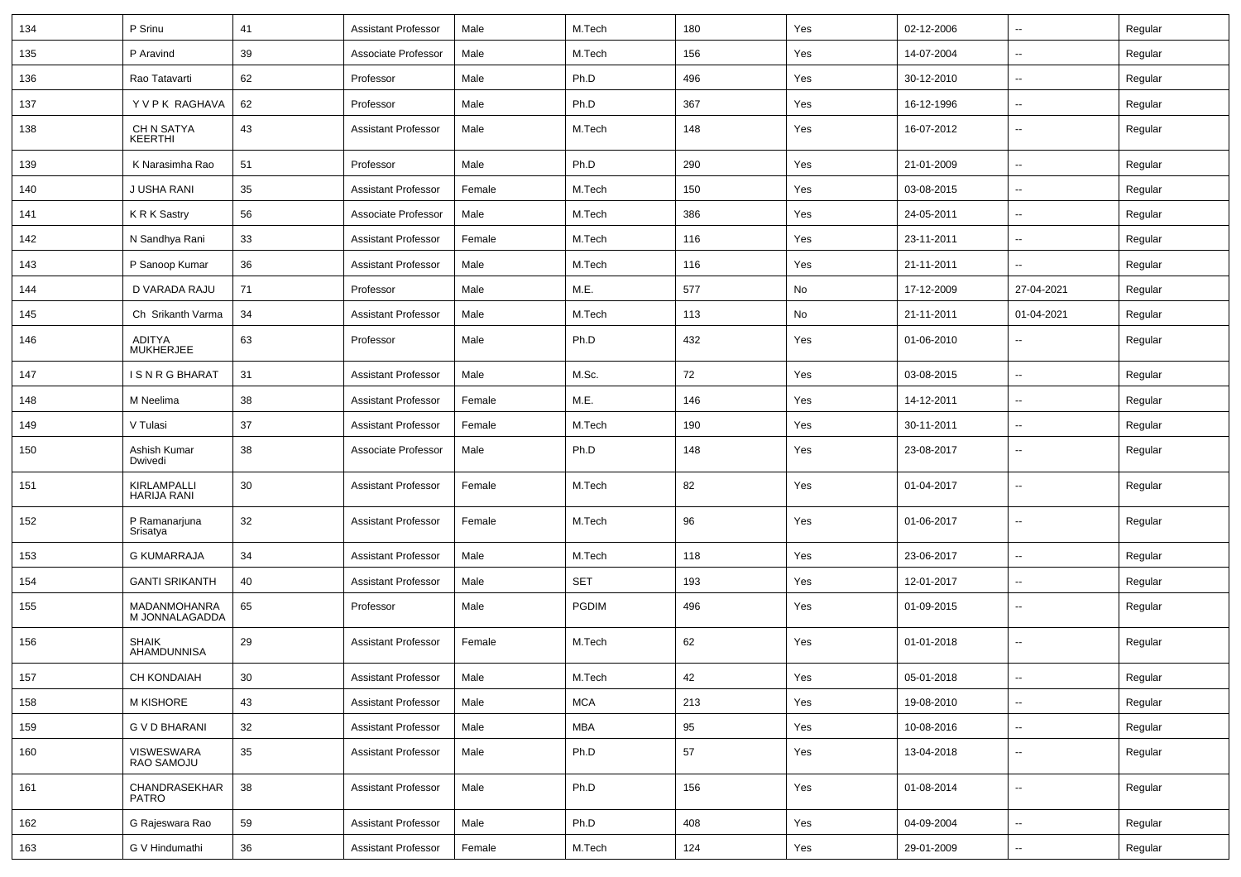| 134 | P Srinu                        | 41              | <b>Assistant Professor</b> | Male   | M.Tech     | 180 | Yes | 02-12-2006 | $\sim$                   | Regular |
|-----|--------------------------------|-----------------|----------------------------|--------|------------|-----|-----|------------|--------------------------|---------|
| 135 | P Aravind                      | 39              | Associate Professor        | Male   | M.Tech     | 156 | Yes | 14-07-2004 | $\sim$                   | Regular |
| 136 | Rao Tatavarti                  | 62              | Professor                  | Male   | Ph.D       | 496 | Yes | 30-12-2010 | $\sim$                   | Regular |
| 137 | Y V P K RAGHAVA                | 62              | Professor                  | Male   | Ph.D       | 367 | Yes | 16-12-1996 | $\overline{\phantom{a}}$ | Regular |
| 138 | CH N SATYA<br><b>KEERTHI</b>   | 43              | <b>Assistant Professor</b> | Male   | M.Tech     | 148 | Yes | 16-07-2012 |                          | Regular |
| 139 | K Narasimha Rao                | 51              | Professor                  | Male   | Ph.D       | 290 | Yes | 21-01-2009 | $\mathbf{u}$             | Regular |
| 140 | J USHA RANI                    | 35              | <b>Assistant Professor</b> | Female | M.Tech     | 150 | Yes | 03-08-2015 | $\sim$                   | Regular |
| 141 | K R K Sastry                   | 56              | Associate Professor        | Male   | M.Tech     | 386 | Yes | 24-05-2011 | $\sim$                   | Regular |
| 142 | N Sandhya Rani                 | 33              | <b>Assistant Professor</b> | Female | M.Tech     | 116 | Yes | 23-11-2011 | $\sim$                   | Regular |
| 143 | P Sanoop Kumar                 | 36              | <b>Assistant Professor</b> | Male   | M.Tech     | 116 | Yes | 21-11-2011 |                          | Regular |
| 144 | D VARADA RAJU                  | 71              | Professor                  | Male   | M.E.       | 577 | No  | 17-12-2009 | 27-04-2021               | Regular |
| 145 | Ch Srikanth Varma              | 34              | <b>Assistant Professor</b> | Male   | M.Tech     | 113 | No  | 21-11-2011 | 01-04-2021               | Regular |
| 146 | ADITYA<br><b>MUKHERJEE</b>     | 63              | Professor                  | Male   | Ph.D       | 432 | Yes | 01-06-2010 | $\sim$                   | Regular |
| 147 | ISNRGBHARAT                    | 31              | <b>Assistant Professor</b> | Male   | M.Sc.      | 72  | Yes | 03-08-2015 |                          | Regular |
| 148 | M Neelima                      | 38              | <b>Assistant Professor</b> | Female | M.E.       | 146 | Yes | 14-12-2011 | $\sim$                   | Regular |
| 149 | V Tulasi                       | 37              | <b>Assistant Professor</b> | Female | M.Tech     | 190 | Yes | 30-11-2011 | $\sim$                   | Regular |
| 150 | Ashish Kumar<br>Dwivedi        | 38              | Associate Professor        | Male   | Ph.D       | 148 | Yes | 23-08-2017 | $\overline{\phantom{a}}$ | Regular |
| 151 | KIRLAMPALLI<br>HARIJA RANI     | 30              | <b>Assistant Professor</b> | Female | M.Tech     | 82  | Yes | 01-04-2017 | $\sim$                   | Regular |
| 152 | P Ramanarjuna<br>Srisatya      | 32              | <b>Assistant Professor</b> | Female | M.Tech     | 96  | Yes | 01-06-2017 | $\overline{\phantom{a}}$ | Regular |
| 153 | <b>G KUMARRAJA</b>             | 34              | <b>Assistant Professor</b> | Male   | M.Tech     | 118 | Yes | 23-06-2017 | $\overline{\phantom{a}}$ | Regular |
| 154 | <b>GANTI SRIKANTH</b>          | 40              | Assistant Professor        | Male   | <b>SET</b> | 193 | Yes | 12-01-2017 | $\sim$                   | Regular |
| 155 | MADANMOHANRA<br>M JONNALAGADDA | 65              | Professor                  | Male   | PGDIM      | 496 | Yes | 01-09-2015 |                          | Regular |
| 156 | <b>SHAIK</b><br>AHAMDUNNISA    | 29              | <b>Assistant Professor</b> | Female | M.Tech     | 62  | Yes | 01-01-2018 |                          | Regular |
| 157 | CH KONDAIAH                    | 30 <sup>°</sup> | Assistant Professor        | Male   | M.Tech     | 42  | Yes | 05-01-2018 |                          | Regular |
| 158 | M KISHORE                      | 43              | <b>Assistant Professor</b> | Male   | <b>MCA</b> | 213 | Yes | 19-08-2010 |                          | Regular |
| 159 | <b>G V D BHARANI</b>           | 32              | Assistant Professor        | Male   | <b>MBA</b> | 95  | Yes | 10-08-2016 | $\sim$                   | Regular |
| 160 | VISWESWARA<br>RAO SAMOJU       | $35\,$          | <b>Assistant Professor</b> | Male   | Ph.D       | 57  | Yes | 13-04-2018 | $\sim$                   | Regular |
| 161 | CHANDRASEKHAR<br><b>PATRO</b>  | 38              | <b>Assistant Professor</b> | Male   | Ph.D       | 156 | Yes | 01-08-2014 | $\sim$                   | Regular |
| 162 | G Rajeswara Rao                | 59              | <b>Assistant Professor</b> | Male   | Ph.D       | 408 | Yes | 04-09-2004 | $\sim$                   | Regular |
| 163 | G V Hindumathi                 | $36\,$          | <b>Assistant Professor</b> | Female | M.Tech     | 124 | Yes | 29-01-2009 | $\sim$                   | Regular |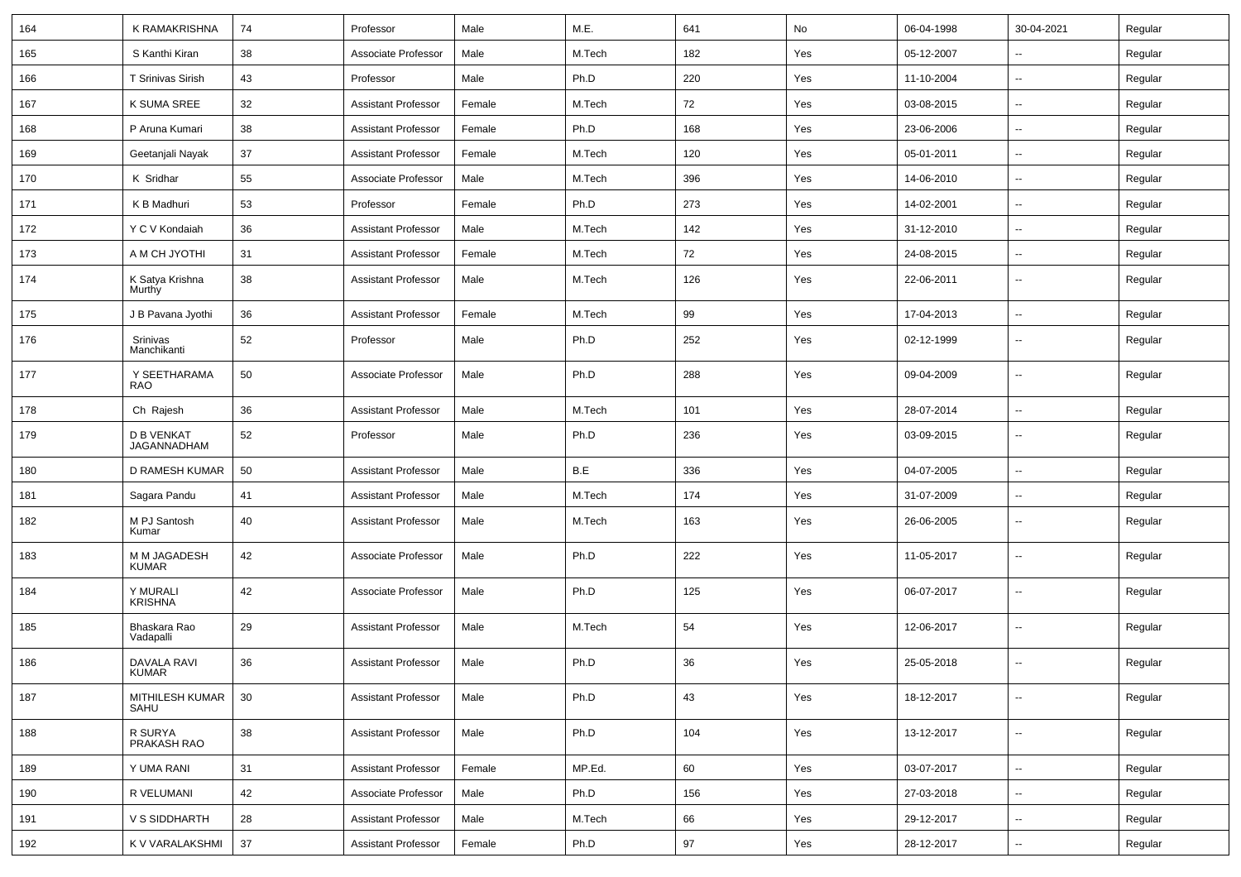| 164 | K RAMAKRISHNA                    | 74 | Professor                  | Male   | M.E.   | 641 | No  | 06-04-1998 | 30-04-2021               | Regular |
|-----|----------------------------------|----|----------------------------|--------|--------|-----|-----|------------|--------------------------|---------|
| 165 | S Kanthi Kiran                   | 38 | Associate Professor        | Male   | M.Tech | 182 | Yes | 05-12-2007 | $\sim$                   | Regular |
| 166 | T Srinivas Sirish                | 43 | Professor                  | Male   | Ph.D   | 220 | Yes | 11-10-2004 | $\overline{\phantom{a}}$ | Regular |
| 167 | K SUMA SREE                      | 32 | <b>Assistant Professor</b> | Female | M.Tech | 72  | Yes | 03-08-2015 | $\overline{\phantom{a}}$ | Regular |
| 168 | P Aruna Kumari                   | 38 | <b>Assistant Professor</b> | Female | Ph.D   | 168 | Yes | 23-06-2006 | $\overline{\phantom{a}}$ | Regular |
| 169 | Geetanjali Nayak                 | 37 | <b>Assistant Professor</b> | Female | M.Tech | 120 | Yes | 05-01-2011 | $\overline{\phantom{a}}$ | Regular |
| 170 | K Sridhar                        | 55 | Associate Professor        | Male   | M.Tech | 396 | Yes | 14-06-2010 | $\sim$                   | Regular |
| 171 | K B Madhuri                      | 53 | Professor                  | Female | Ph.D   | 273 | Yes | 14-02-2001 | $\sim$                   | Regular |
| 172 | Y C V Kondaiah                   | 36 | <b>Assistant Professor</b> | Male   | M.Tech | 142 | Yes | 31-12-2010 | $\overline{\phantom{a}}$ | Regular |
| 173 | A M CH JYOTHI                    | 31 | <b>Assistant Professor</b> | Female | M.Tech | 72  | Yes | 24-08-2015 | $\overline{\phantom{a}}$ | Regular |
| 174 | K Satya Krishna<br>Murthy        | 38 | <b>Assistant Professor</b> | Male   | M.Tech | 126 | Yes | 22-06-2011 | --                       | Regular |
| 175 | J B Pavana Jyothi                | 36 | <b>Assistant Professor</b> | Female | M.Tech | 99  | Yes | 17-04-2013 | $\overline{\phantom{a}}$ | Regular |
| 176 | Srinivas<br>Manchikanti          | 52 | Professor                  | Male   | Ph.D   | 252 | Yes | 02-12-1999 | $\overline{\phantom{a}}$ | Regular |
| 177 | Y SEETHARAMA<br><b>RAO</b>       | 50 | Associate Professor        | Male   | Ph.D   | 288 | Yes | 09-04-2009 | $\overline{\phantom{a}}$ | Regular |
| 178 | Ch Rajesh                        | 36 | <b>Assistant Professor</b> | Male   | M.Tech | 101 | Yes | 28-07-2014 | ÷.                       | Regular |
| 179 | <b>D B VENKAT</b><br>JAGANNADHAM | 52 | Professor                  | Male   | Ph.D   | 236 | Yes | 03-09-2015 | $\overline{\phantom{a}}$ | Regular |
| 180 | D RAMESH KUMAR                   | 50 | <b>Assistant Professor</b> | Male   | B.E    | 336 | Yes | 04-07-2005 | $\sim$                   | Regular |
| 181 | Sagara Pandu                     | 41 | <b>Assistant Professor</b> | Male   | M.Tech | 174 | Yes | 31-07-2009 | ⊷.                       | Regular |
| 182 | M PJ Santosh<br>Kumar            | 40 | <b>Assistant Professor</b> | Male   | M.Tech | 163 | Yes | 26-06-2005 | --                       | Regular |
| 183 | M M JAGADESH<br><b>KUMAR</b>     | 42 | Associate Professor        | Male   | Ph.D   | 222 | Yes | 11-05-2017 | $\overline{\phantom{a}}$ | Regular |
| 184 | Y MURALI<br>KRISHNA              | 42 | Associate Professor        | Male   | Ph.D   | 125 | Yes | 06-07-2017 | --                       | Regular |
| 185 | Bhaskara Rao<br>Vadapalli        | 29 | <b>Assistant Professor</b> | Male   | M.Tech | 54  | Yes | 12-06-2017 | --                       | Regular |
| 186 | DAVALA RAVI<br><b>KUMAR</b>      | 36 | <b>Assistant Professor</b> | Male   | Ph.D   | 36  | Yes | 25-05-2018 | --                       | Regular |
| 187 | MITHILESH KUMAR<br>SAHU          | 30 | <b>Assistant Professor</b> | Male   | Ph.D   | 43  | Yes | 18-12-2017 | -−                       | Regular |
| 188 | R SURYA<br>PRAKASH RAO           | 38 | <b>Assistant Professor</b> | Male   | Ph.D   | 104 | Yes | 13-12-2017 | $\sim$                   | Regular |
| 189 | Y UMA RANI                       | 31 | <b>Assistant Professor</b> | Female | MP.Ed. | 60  | Yes | 03-07-2017 | --                       | Regular |
| 190 | R VELUMANI                       | 42 | Associate Professor        | Male   | Ph.D   | 156 | Yes | 27-03-2018 | $\overline{a}$           | Regular |
| 191 | <b>V S SIDDHARTH</b>             | 28 | <b>Assistant Professor</b> | Male   | M.Tech | 66  | Yes | 29-12-2017 | $\overline{\phantom{a}}$ | Regular |
| 192 | K V VARALAKSHMI                  | 37 | <b>Assistant Professor</b> | Female | Ph.D   | 97  | Yes | 28-12-2017 | $\overline{\phantom{a}}$ | Regular |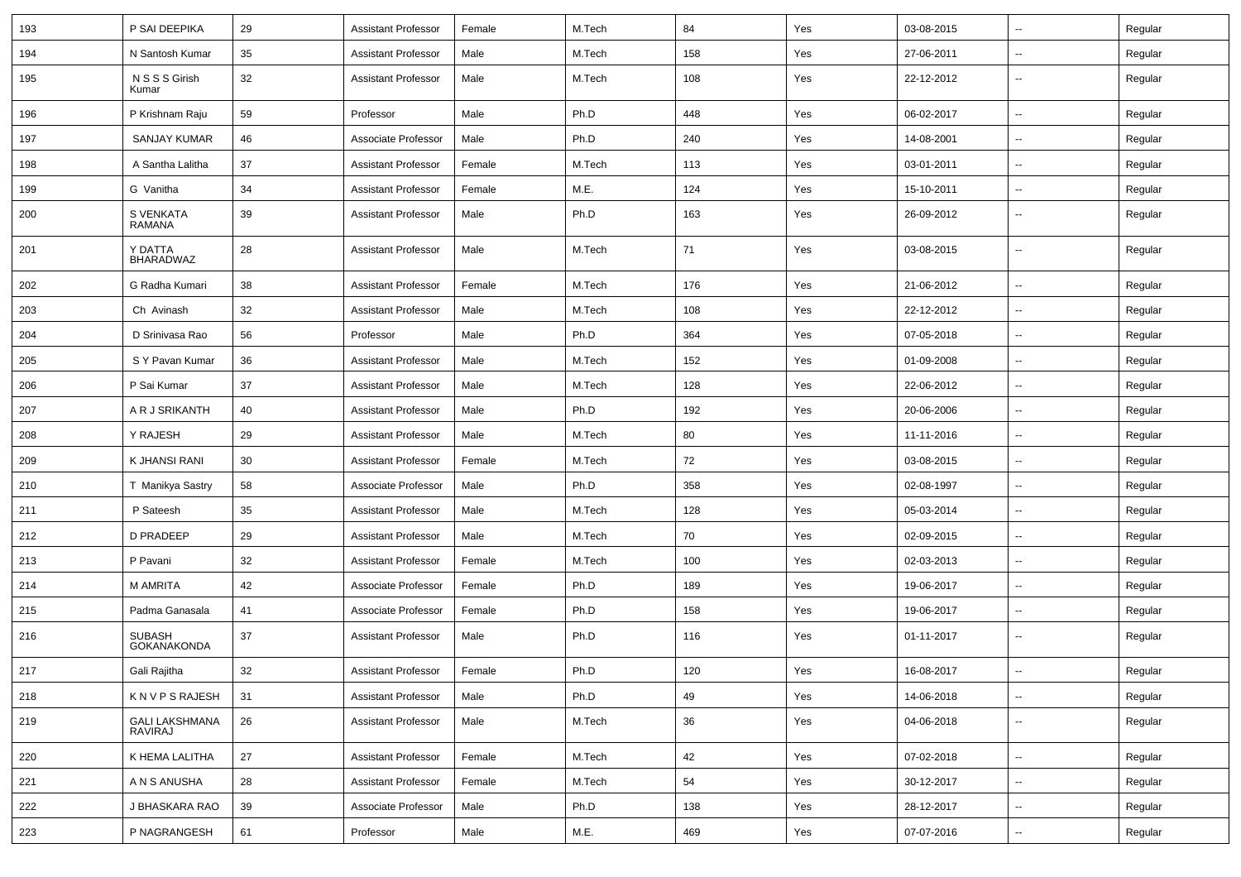| 193 | P SAI DEEPIKA                    | 29 | <b>Assistant Professor</b> | Female | M.Tech | 84  | Yes | 03-08-2015 | $\overline{\phantom{a}}$ | Regular |
|-----|----------------------------------|----|----------------------------|--------|--------|-----|-----|------------|--------------------------|---------|
| 194 | N Santosh Kumar                  | 35 | <b>Assistant Professor</b> | Male   | M.Tech | 158 | Yes | 27-06-2011 | $\overline{\phantom{a}}$ | Regular |
| 195 | N S S S Girish<br>Kumar          | 32 | <b>Assistant Professor</b> | Male   | M.Tech | 108 | Yes | 22-12-2012 | --                       | Regular |
| 196 | P Krishnam Raju                  | 59 | Professor                  | Male   | Ph.D   | 448 | Yes | 06-02-2017 | $\overline{\phantom{a}}$ | Regular |
| 197 | SANJAY KUMAR                     | 46 | Associate Professor        | Male   | Ph.D   | 240 | Yes | 14-08-2001 | $\overline{\phantom{a}}$ | Regular |
| 198 | A Santha Lalitha                 | 37 | <b>Assistant Professor</b> | Female | M.Tech | 113 | Yes | 03-01-2011 | $\overline{\phantom{a}}$ | Regular |
| 199 | G Vanitha                        | 34 | <b>Assistant Professor</b> | Female | M.E.   | 124 | Yes | 15-10-2011 | $\overline{\phantom{a}}$ | Regular |
| 200 | S VENKATA<br><b>RAMANA</b>       | 39 | <b>Assistant Professor</b> | Male   | Ph.D   | 163 | Yes | 26-09-2012 | $\overline{\phantom{a}}$ | Regular |
| 201 | Y DATTA<br><b>BHARADWAZ</b>      | 28 | <b>Assistant Professor</b> | Male   | M.Tech | 71  | Yes | 03-08-2015 | $\overline{\phantom{a}}$ | Regular |
| 202 | G Radha Kumari                   | 38 | <b>Assistant Professor</b> | Female | M.Tech | 176 | Yes | 21-06-2012 | ⊷.                       | Regular |
| 203 | Ch Avinash                       | 32 | <b>Assistant Professor</b> | Male   | M.Tech | 108 | Yes | 22-12-2012 | $\overline{\phantom{a}}$ | Regular |
| 204 | D Srinivasa Rao                  | 56 | Professor                  | Male   | Ph.D   | 364 | Yes | 07-05-2018 | $\overline{a}$           | Regular |
| 205 | S Y Pavan Kumar                  | 36 | <b>Assistant Professor</b> | Male   | M.Tech | 152 | Yes | 01-09-2008 | --                       | Regular |
| 206 | P Sai Kumar                      | 37 | <b>Assistant Professor</b> | Male   | M.Tech | 128 | Yes | 22-06-2012 | $\overline{\phantom{a}}$ | Regular |
| 207 | A R J SRIKANTH                   | 40 | <b>Assistant Professor</b> | Male   | Ph.D   | 192 | Yes | 20-06-2006 | ⊷.                       | Regular |
| 208 | Y RAJESH                         | 29 | <b>Assistant Professor</b> | Male   | M.Tech | 80  | Yes | 11-11-2016 | ⊷.                       | Regular |
| 209 | K JHANSI RANI                    | 30 | <b>Assistant Professor</b> | Female | M.Tech | 72  | Yes | 03-08-2015 | $\overline{\phantom{a}}$ | Regular |
| 210 | T Manikya Sastry                 | 58 | Associate Professor        | Male   | Ph.D   | 358 | Yes | 02-08-1997 | --                       | Regular |
| 211 | P Sateesh                        | 35 | <b>Assistant Professor</b> | Male   | M.Tech | 128 | Yes | 05-03-2014 | --                       | Regular |
| 212 | <b>D PRADEEP</b>                 | 29 | <b>Assistant Professor</b> | Male   | M.Tech | 70  | Yes | 02-09-2015 | $\overline{\phantom{a}}$ | Regular |
| 213 | P Pavani                         | 32 | <b>Assistant Professor</b> | Female | M.Tech | 100 | Yes | 02-03-2013 | $\overline{\phantom{a}}$ | Regular |
| 214 | <b>M AMRITA</b>                  | 42 | Associate Professor        | Female | Ph.D   | 189 | Yes | 19-06-2017 | ⊷.                       | Regular |
| 215 | Padma Ganasala                   | 41 | Associate Professor        | Female | Ph.D   | 158 | Yes | 19-06-2017 | --                       | Regular |
| 216 | SUBASH<br>GOKANAKONDA            | 37 | <b>Assistant Professor</b> | Male   | Ph.D   | 116 | Yes | 01-11-2017 | --                       | Regular |
| 217 | Gali Rajitha                     | 32 | <b>Assistant Professor</b> | Female | Ph.D   | 120 | Yes | 16-08-2017 | $\overline{\phantom{a}}$ | Regular |
| 218 | KNVPSRAJESH                      | 31 | <b>Assistant Professor</b> | Male   | Ph.D   | 49  | Yes | 14-06-2018 | -−                       | Regular |
| 219 | <b>GALI LAKSHMANA</b><br>RAVIRAJ | 26 | <b>Assistant Professor</b> | Male   | M.Tech | 36  | Yes | 04-06-2018 | Щ,                       | Regular |
| 220 | K HEMA LALITHA                   | 27 | <b>Assistant Professor</b> | Female | M.Tech | 42  | Yes | 07-02-2018 | $\sim$                   | Regular |
| 221 | A N S ANUSHA                     | 28 | <b>Assistant Professor</b> | Female | M.Tech | 54  | Yes | 30-12-2017 | $\sim$                   | Regular |
| 222 | J BHASKARA RAO                   | 39 | Associate Professor        | Male   | Ph.D   | 138 | Yes | 28-12-2017 | $\sim$                   | Regular |
| 223 | P NAGRANGESH                     | 61 | Professor                  | Male   | M.E.   | 469 | Yes | 07-07-2016 | −−                       | Regular |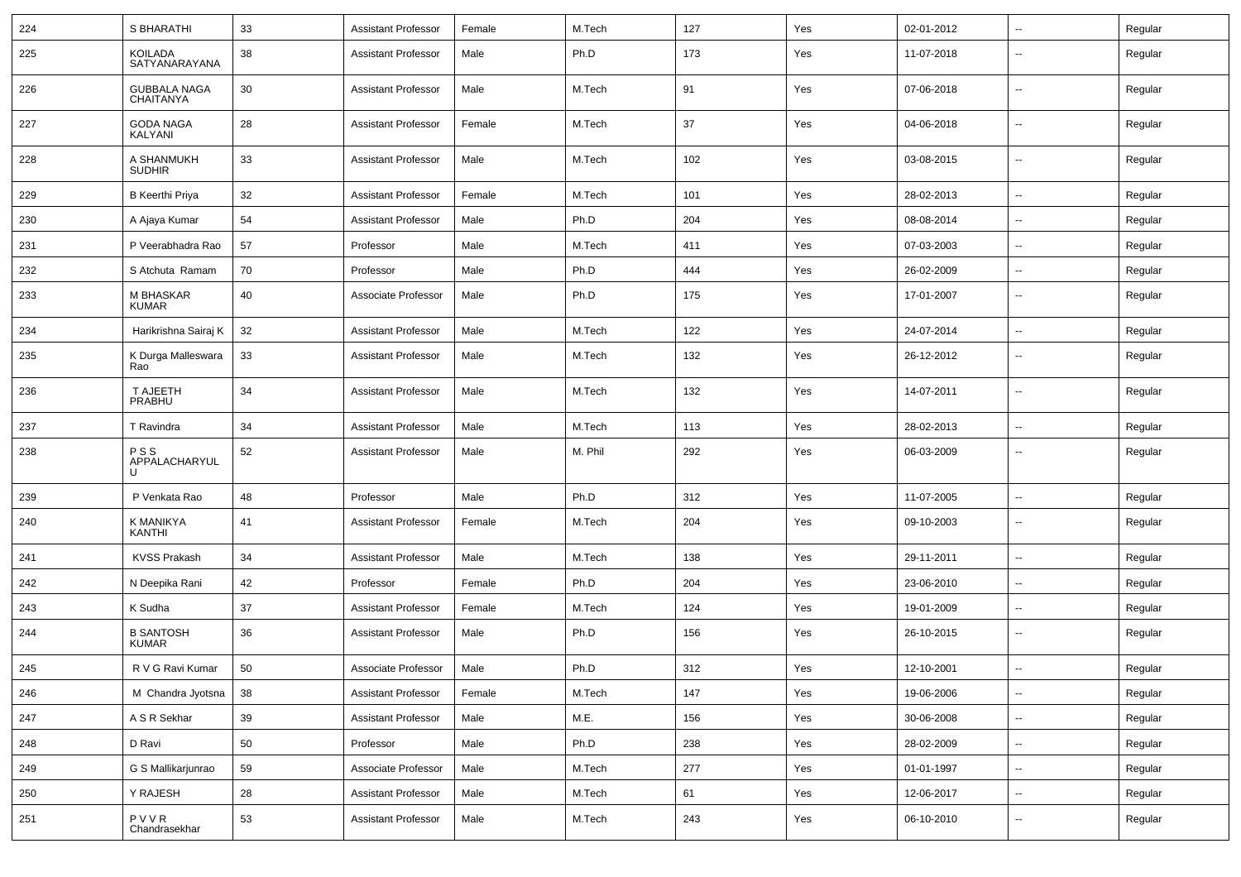| 224 | S BHARATHI                              | 33 | Assistant Professor        | Female | M.Tech  | 127 | Yes | 02-01-2012 | --                       | Regular |
|-----|-----------------------------------------|----|----------------------------|--------|---------|-----|-----|------------|--------------------------|---------|
| 225 | <b>KOILADA</b><br>SATYANARAYANA         | 38 | <b>Assistant Professor</b> | Male   | Ph.D    | 173 | Yes | 11-07-2018 | --                       | Regular |
| 226 | <b>GUBBALA NAGA</b><br><b>CHAITANYA</b> | 30 | <b>Assistant Professor</b> | Male   | M.Tech  | 91  | Yes | 07-06-2018 | $\overline{\phantom{a}}$ | Regular |
| 227 | <b>GODA NAGA</b><br>KALYANI             | 28 | Assistant Professor        | Female | M.Tech  | 37  | Yes | 04-06-2018 | $\overline{\phantom{a}}$ | Regular |
| 228 | A SHANMUKH<br><b>SUDHIR</b>             | 33 | <b>Assistant Professor</b> | Male   | M.Tech  | 102 | Yes | 03-08-2015 | $\overline{\phantom{a}}$ | Regular |
| 229 | <b>B</b> Keerthi Priya                  | 32 | <b>Assistant Professor</b> | Female | M.Tech  | 101 | Yes | 28-02-2013 | $\overline{\phantom{a}}$ | Regular |
| 230 | A Ajaya Kumar                           | 54 | <b>Assistant Professor</b> | Male   | Ph.D    | 204 | Yes | 08-08-2014 | $\overline{\phantom{a}}$ | Regular |
| 231 | P Veerabhadra Rao                       | 57 | Professor                  | Male   | M.Tech  | 411 | Yes | 07-03-2003 | --                       | Regular |
| 232 | S Atchuta Ramam                         | 70 | Professor                  | Male   | Ph.D    | 444 | Yes | 26-02-2009 | $\overline{\phantom{a}}$ | Regular |
| 233 | M BHASKAR<br><b>KUMAR</b>               | 40 | Associate Professor        | Male   | Ph.D    | 175 | Yes | 17-01-2007 | $\sim$                   | Regular |
| 234 | Harikrishna Sairaj K                    | 32 | <b>Assistant Professor</b> | Male   | M.Tech  | 122 | Yes | 24-07-2014 | $\sim$                   | Regular |
| 235 | K Durga Malleswara<br>Rao               | 33 | <b>Assistant Professor</b> | Male   | M.Tech  | 132 | Yes | 26-12-2012 | ۰.                       | Regular |
| 236 | T AJEETH<br>PRABHU                      | 34 | <b>Assistant Professor</b> | Male   | M.Tech  | 132 | Yes | 14-07-2011 | $\overline{\phantom{a}}$ | Regular |
| 237 | T Ravindra                              | 34 | <b>Assistant Professor</b> | Male   | M.Tech  | 113 | Yes | 28-02-2013 | --                       | Regular |
| 238 | <b>PSS</b><br>APPALACHARYUL<br>U        | 52 | <b>Assistant Professor</b> | Male   | M. Phil | 292 | Yes | 06-03-2009 | $\overline{\phantom{a}}$ | Regular |
| 239 | P Venkata Rao                           | 48 | Professor                  | Male   | Ph.D    | 312 | Yes | 11-07-2005 | --                       | Regular |
| 240 | K MANIKYA<br><b>KANTHI</b>              | 41 | Assistant Professor        | Female | M.Tech  | 204 | Yes | 09-10-2003 | $\overline{\phantom{a}}$ | Regular |
| 241 | <b>KVSS Prakash</b>                     | 34 | <b>Assistant Professor</b> | Male   | M.Tech  | 138 | Yes | 29-11-2011 | $\overline{\phantom{a}}$ | Regular |
| 242 | N Deepika Rani                          | 42 | Professor                  | Female | Ph.D    | 204 | Yes | 23-06-2010 | ۰.                       | Regular |
| 243 | K Sudha                                 | 37 | <b>Assistant Professor</b> | Female | M.Tech  | 124 | Yes | 19-01-2009 | --                       | Regular |
| 244 | <b>B SANTOSH</b><br><b>KUMAR</b>        | 36 | <b>Assistant Professor</b> | Male   | Ph.D    | 156 | Yes | 26-10-2015 | $\overline{\phantom{a}}$ | Regular |
| 245 | R V G Ravi Kumar                        | 50 | Associate Professor        | Male   | Ph.D    | 312 | Yes | 12-10-2001 | $\overline{\phantom{a}}$ | Regular |
| 246 | M Chandra Jyotsna                       | 38 | <b>Assistant Professor</b> | Female | M.Tech  | 147 | Yes | 19-06-2006 | $\sim$                   | Regular |
| 247 | A S R Sekhar                            | 39 | <b>Assistant Professor</b> | Male   | M.E.    | 156 | Yes | 30-06-2008 | н.                       | Regular |
| 248 | D Ravi                                  | 50 | Professor                  | Male   | Ph.D    | 238 | Yes | 28-02-2009 | н.                       | Regular |
| 249 | G S Mallikarjunrao                      | 59 | Associate Professor        | Male   | M.Tech  | 277 | Yes | 01-01-1997 | $\overline{\phantom{a}}$ | Regular |
| 250 | Y RAJESH                                | 28 | <b>Assistant Professor</b> | Male   | M.Tech  | 61  | Yes | 12-06-2017 | н.                       | Regular |
| 251 | PVVR<br>Chandrasekhar                   | 53 | <b>Assistant Professor</b> | Male   | M.Tech  | 243 | Yes | 06-10-2010 | н.                       | Regular |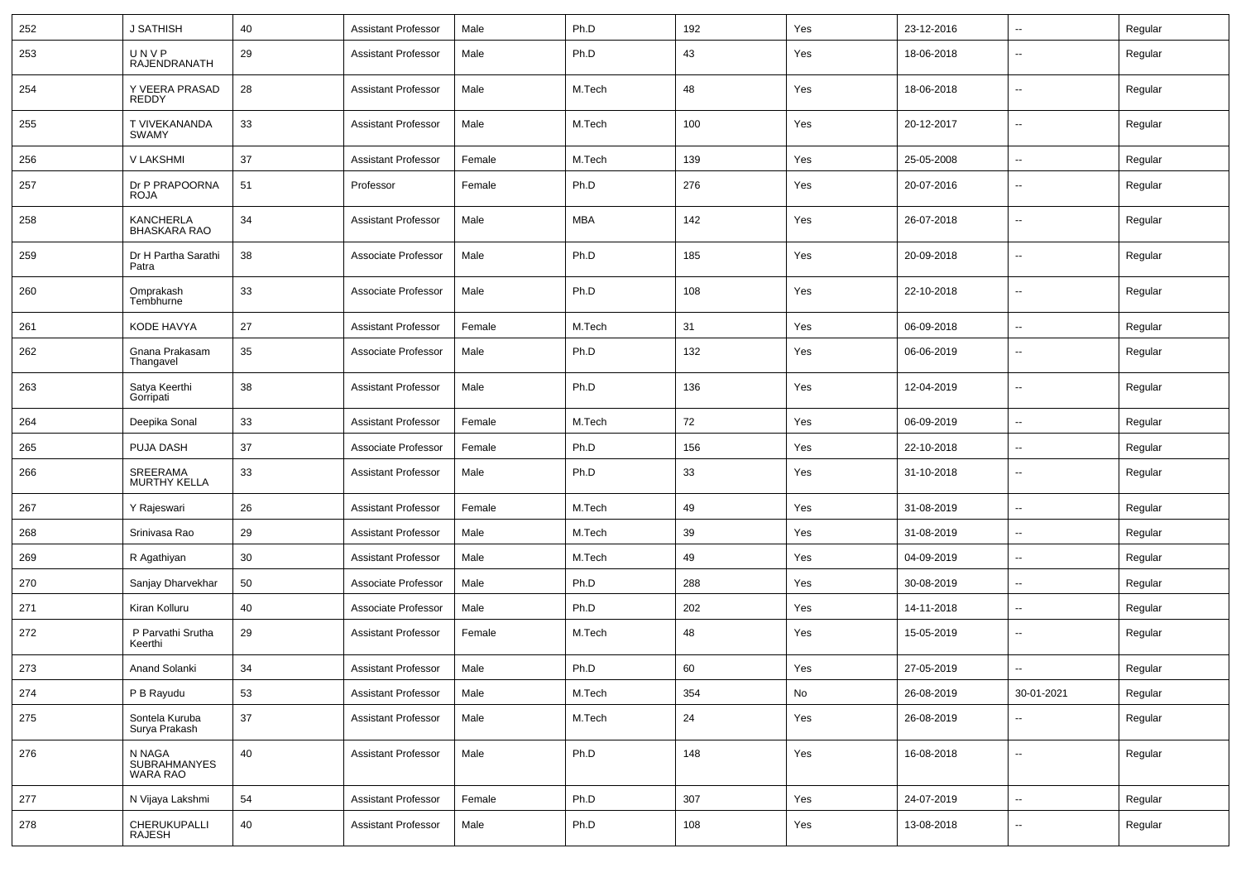| 252 | J SATHISH                                        | 40     | <b>Assistant Professor</b> | Male   | Ph.D       | 192 | Yes | 23-12-2016 | $\sim$                   | Regular |
|-----|--------------------------------------------------|--------|----------------------------|--------|------------|-----|-----|------------|--------------------------|---------|
| 253 | UNVP<br>RAJENDRANATH                             | 29     | <b>Assistant Professor</b> | Male   | Ph.D       | 43  | Yes | 18-06-2018 | $\overline{\phantom{a}}$ | Regular |
| 254 | Y VEERA PRASAD<br>REDDY                          | 28     | Assistant Professor        | Male   | M.Tech     | 48  | Yes | 18-06-2018 | $\overline{\phantom{a}}$ | Regular |
| 255 | T VIVEKANANDA<br><b>SWAMY</b>                    | 33     | <b>Assistant Professor</b> | Male   | M.Tech     | 100 | Yes | 20-12-2017 | $\overline{\phantom{a}}$ | Regular |
| 256 | V LAKSHMI                                        | 37     | <b>Assistant Professor</b> | Female | M.Tech     | 139 | Yes | 25-05-2008 | $\overline{\phantom{a}}$ | Regular |
| 257 | Dr P PRAPOORNA<br>ROJA                           | 51     | Professor                  | Female | Ph.D       | 276 | Yes | 20-07-2016 | $\overline{\phantom{a}}$ | Regular |
| 258 | <b>KANCHERLA</b><br><b>BHASKARA RAO</b>          | 34     | <b>Assistant Professor</b> | Male   | <b>MBA</b> | 142 | Yes | 26-07-2018 | $\overline{\phantom{a}}$ | Regular |
| 259 | Dr H Partha Sarathi<br>Patra                     | 38     | Associate Professor        | Male   | Ph.D       | 185 | Yes | 20-09-2018 | $\overline{\phantom{a}}$ | Regular |
| 260 | Omprakash<br>Tembhurne                           | 33     | Associate Professor        | Male   | Ph.D       | 108 | Yes | 22-10-2018 | $\overline{\phantom{a}}$ | Regular |
| 261 | KODE HAVYA                                       | 27     | Assistant Professor        | Female | M.Tech     | 31  | Yes | 06-09-2018 | $\overline{\phantom{a}}$ | Regular |
| 262 | Gnana Prakasam<br>Thangavel                      | 35     | Associate Professor        | Male   | Ph.D       | 132 | Yes | 06-06-2019 | $\overline{\phantom{a}}$ | Regular |
| 263 | Satya Keerthi<br>Gorripati                       | 38     | <b>Assistant Professor</b> | Male   | Ph.D       | 136 | Yes | 12-04-2019 | $\overline{\phantom{a}}$ | Regular |
| 264 | Deepika Sonal                                    | 33     | <b>Assistant Professor</b> | Female | M.Tech     | 72  | Yes | 06-09-2019 | $\overline{\phantom{a}}$ | Regular |
| 265 | PUJA DASH                                        | 37     | Associate Professor        | Female | Ph.D       | 156 | Yes | 22-10-2018 | $\overline{\phantom{a}}$ | Regular |
| 266 | SREERAMA<br><b>MURTHY KELLA</b>                  | 33     | <b>Assistant Professor</b> | Male   | Ph.D       | 33  | Yes | 31-10-2018 | $\sim$                   | Regular |
| 267 | Y Rajeswari                                      | 26     | <b>Assistant Professor</b> | Female | M.Tech     | 49  | Yes | 31-08-2019 | $\overline{\phantom{a}}$ | Regular |
| 268 | Srinivasa Rao                                    | 29     | <b>Assistant Professor</b> | Male   | M.Tech     | 39  | Yes | 31-08-2019 | $\sim$                   | Regular |
| 269 | R Agathiyan                                      | 30     | <b>Assistant Professor</b> | Male   | M.Tech     | 49  | Yes | 04-09-2019 | $\sim$                   | Regular |
| 270 | Sanjay Dharvekhar                                | 50     | Associate Professor        | Male   | Ph.D       | 288 | Yes | 30-08-2019 | $\sim$                   | Regular |
| 271 | Kiran Kolluru                                    | 40     | Associate Professor        | Male   | Ph.D       | 202 | Yes | 14-11-2018 | $\overline{\phantom{a}}$ | Regular |
| 272 | P Parvathi Srutha<br>Keerthi                     | 29     | <b>Assistant Professor</b> | Female | M.Tech     | 48  | Yes | 15-05-2019 | $\overline{\phantom{a}}$ | Regular |
| 273 | Anand Solanki                                    | 34     | <b>Assistant Professor</b> | Male   | Ph.D       | 60  | Yes | 27-05-2019 | --                       | Regular |
| 274 | P B Rayudu                                       | 53     | <b>Assistant Professor</b> | Male   | M.Tech     | 354 | No  | 26-08-2019 | 30-01-2021               | Regular |
| 275 | Sontela Kuruba<br>Surya Prakash                  | $37\,$ | <b>Assistant Professor</b> | Male   | M.Tech     | 24  | Yes | 26-08-2019 | $\overline{\phantom{a}}$ | Regular |
| 276 | N NAGA<br><b>SUBRAHMANYES</b><br><b>WARA RAO</b> | 40     | <b>Assistant Professor</b> | Male   | Ph.D       | 148 | Yes | 16-08-2018 | $\sim$                   | Regular |
| 277 | N Vijaya Lakshmi                                 | 54     | <b>Assistant Professor</b> | Female | Ph.D       | 307 | Yes | 24-07-2019 | $\sim$                   | Regular |
| 278 | CHERUKUPALLI<br>RAJESH                           | 40     | <b>Assistant Professor</b> | Male   | Ph.D       | 108 | Yes | 13-08-2018 | $\overline{\phantom{a}}$ | Regular |